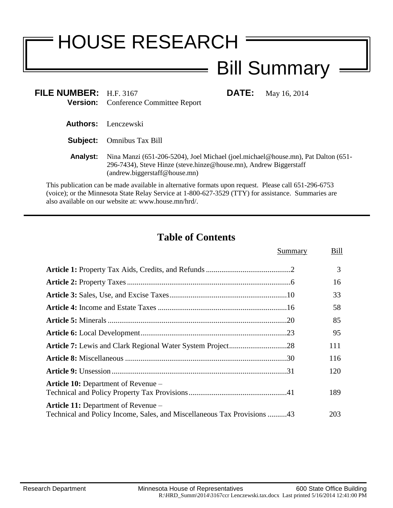# HOUSE RESEARCH

# Bill Summary

**FILE:** May 16, 2014

| FILE NUMBER: $H.F. 3167$ |                                             |
|--------------------------|---------------------------------------------|
|                          | <b>Version:</b> Conference Committee Report |

**Authors:** Lenczewski

**Subject:** Omnibus Tax Bill

**Analyst:** Nina Manzi (651-206-5204), Joel Michael (joel.michael@house.mn), Pat Dalton (651- 296-7434), Steve Hinze (steve.hinze@house.mn), Andrew Biggerstaff (andrew.biggerstaff@house.mn)

 $\equiv$ 

This publication can be made available in alternative formats upon request. Please call 651-296-6753 (voice); or the Minnesota State Relay Service at 1-800-627-3529 (TTY) for assistance. Summaries are also available on our website at: www.house.mn/hrd/.

# **Table of Contents**

|                                                                                                                       | Summary | Bill |
|-----------------------------------------------------------------------------------------------------------------------|---------|------|
|                                                                                                                       |         | 3    |
|                                                                                                                       |         | 16   |
|                                                                                                                       |         | 33   |
|                                                                                                                       |         | 58   |
|                                                                                                                       |         | 85   |
|                                                                                                                       |         | 95   |
|                                                                                                                       |         | 111  |
|                                                                                                                       |         | 116  |
|                                                                                                                       |         | 120  |
| <b>Article 10:</b> Department of Revenue –                                                                            |         | 189  |
| <b>Article 11:</b> Department of Revenue –<br>Technical and Policy Income, Sales, and Miscellaneous Tax Provisions 43 |         | 203  |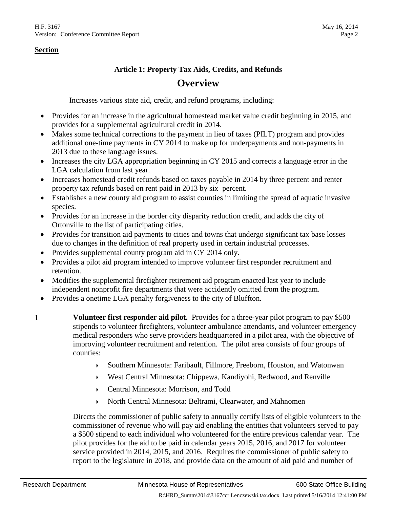#### **Article 1: Property Tax Aids, Credits, and Refunds**

# **Overview**

Increases various state aid, credit, and refund programs, including:

- Provides for an increase in the agricultural homestead market value credit beginning in 2015, and provides for a supplemental agricultural credit in 2014.
- Makes some technical corrections to the payment in lieu of taxes (PILT) program and provides additional one-time payments in CY 2014 to make up for underpayments and non-payments in 2013 due to these language issues.
- Increases the city LGA appropriation beginning in CY 2015 and corrects a language error in the LGA calculation from last year.
- Increases homestead credit refunds based on taxes payable in 2014 by three percent and renter property tax refunds based on rent paid in 2013 by six percent.
- Establishes a new county aid program to assist counties in limiting the spread of aquatic invasive species.
- Provides for an increase in the border city disparity reduction credit, and adds the city of Ortonville to the list of participating cities.
- Provides for transition aid payments to cities and towns that undergo significant tax base losses due to changes in the definition of real property used in certain industrial processes.
- Provides supplemental county program aid in CY 2014 only.
- Provides a pilot aid program intended to improve volunteer first responder recruitment and retention.
- Modifies the supplemental firefighter retirement aid program enacted last year to include independent nonprofit fire departments that were accidently omitted from the program.
- Provides a onetime LGA penalty forgiveness to the city of Bluffton.
- **1 Volunteer first responder aid pilot.** Provides for a three-year pilot program to pay \$500 stipends to volunteer firefighters, volunteer ambulance attendants, and volunteer emergency medical responders who serve providers headquartered in a pilot area, with the objective of improving volunteer recruitment and retention. The pilot area consists of four groups of counties:
	- Southern Minnesota: Faribault, Fillmore, Freeborn, Houston, and Watonwan
	- West Central Minnesota: Chippewa, Kandiyohi, Redwood, and Renville
	- Central Minnesota: Morrison, and Todd
	- North Central Minnesota: Beltrami, Clearwater, and Mahnomen

Directs the commissioner of public safety to annually certify lists of eligible volunteers to the commissioner of revenue who will pay aid enabling the entities that volunteers served to pay a \$500 stipend to each individual who volunteered for the entire previous calendar year. The pilot provides for the aid to be paid in calendar years 2015, 2016, and 2017 for volunteer service provided in 2014, 2015, and 2016. Requires the commissioner of public safety to report to the legislature in 2018, and provide data on the amount of aid paid and number of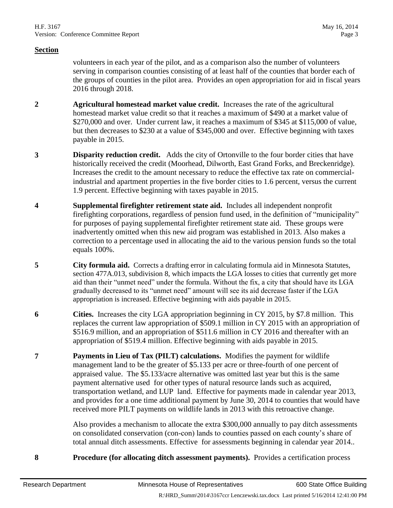volunteers in each year of the pilot, and as a comparison also the number of volunteers serving in comparison counties consisting of at least half of the counties that border each of the groups of counties in the pilot area. Provides an open appropriation for aid in fiscal years 2016 through 2018.

- **2 Agricultural homestead market value credit.** Increases the rate of the agricultural homestead market value credit so that it reaches a maximum of \$490 at a market value of \$270,000 and over. Under current law, it reaches a maximum of \$345 at \$115,000 of value, but then decreases to \$230 at a value of \$345,000 and over. Effective beginning with taxes payable in 2015.
- **3 Disparity reduction credit.** Adds the city of Ortonville to the four border cities that have historically received the credit (Moorhead, Dilworth, East Grand Forks, and Breckenridge). Increases the credit to the amount necessary to reduce the effective tax rate on commercialindustrial and apartment properties in the five border cities to 1.6 percent, versus the current 1.9 percent. Effective beginning with taxes payable in 2015.
- **4 Supplemental firefighter retirement state aid.** Includes all independent nonprofit firefighting corporations, regardless of pension fund used, in the definition of "municipality" for purposes of paying supplemental firefighter retirement state aid. These groups were inadvertently omitted when this new aid program was established in 2013. Also makes a correction to a percentage used in allocating the aid to the various pension funds so the total equals 100%.
- <span id="page-2-1"></span>**5 City formula aid.** Corrects a drafting error in calculating formula aid in Minnesota Statutes, section 477A.013, subdivision 8, which impacts the LGA losses to cities that currently get more aid than their "unmet need" under the formula. Without the fix, a city that should have its LGA gradually decreased to its "unmet need" amount will see its aid decrease faster if the LGA appropriation is increased. Effective beginning with aids payable in 2015.
- **6 Cities.** Increases the city LGA appropriation beginning in CY 2015, by \$7.8 million. This replaces the current law appropriation of \$509.1 million in CY 2015 with an appropriation of \$516.9 million, and an appropriation of \$511.6 million in CY 2016 and thereafter with an appropriation of \$519.4 million. Effective beginning with aids payable in 2015.
- <span id="page-2-0"></span>**7 Payments in Lieu of Tax (PILT) calculations.** Modifies the payment for wildlife management land to be the greater of \$5.133 per acre or three-fourth of one percent of appraised value. The \$5.133/acre alternative was omitted last year but this is the same payment alternative used for other types of natural resource lands such as acquired, transportation wetland, and LUP land. Effective for payments made in calendar year 2013, and provides for a one time additional payment by June 30, 2014 to counties that would have received more PILT payments on wildlife lands in 2013 with this retroactive change.

Also provides a mechanism to allocate the extra \$300,000 annually to pay ditch assessments on consolidated conservation (con-con) lands to counties passed on each county's share of total annual ditch assessments. Effective for assessments beginning in calendar year 2014..

**8 Procedure (for allocating ditch assessment payments).** Provides a certification process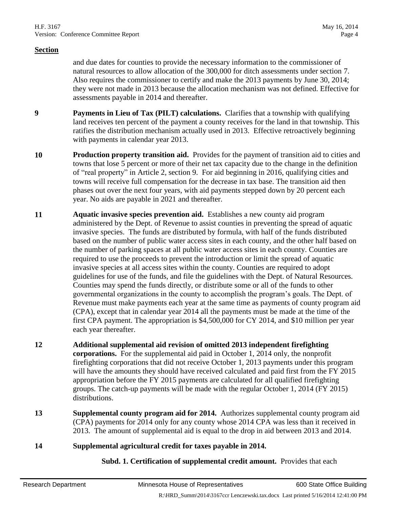and due dates for counties to provide the necessary information to the commissioner of natural resources to allow allocation of the 300,000 for ditch assessments under section [7.](#page-2-0) Also requires the commissioner to certify and make the 2013 payments by June 30, 2014; they were not made in 2013 because the allocation mechanism was not defined. Effective for assessments payable in 2014 and thereafter.

- **9 Payments in Lieu of Tax (PILT) calculations.** Clarifies that a township with qualifying land receives ten percent of the payment a county receives for the land in that township. This ratifies the distribution mechanism actually used in 2013. Effective retroactively beginning with payments in calendar year 2013.
- **10 Production property transition aid.** Provides for the payment of transition aid to cities and towns that lose 5 percent or more of their net tax capacity due to the change in the definition of "real property" in Article 2, section 9. For aid beginning in 2016, qualifying cities and towns will receive full compensation for the decrease in tax base. The transition aid then phases out over the next four years, with aid payments stepped down by 20 percent each year. No aids are payable in 2021 and thereafter.
- **11 Aquatic invasive species prevention aid.** Establishes a new county aid program administered by the Dept. of Revenue to assist counties in preventing the spread of aquatic invasive species. The funds are distributed by formula, with half of the funds distributed based on the number of public water access sites in each county, and the other half based on the number of parking spaces at all public water access sites in each county. Counties are required to use the proceeds to prevent the introduction or limit the spread of aquatic invasive species at all access sites within the county. Counties are required to adopt guidelines for use of the funds, and file the guidelines with the Dept. of Natural Resources. Counties may spend the funds directly, or distribute some or all of the funds to other governmental organizations in the county to accomplish the program's goals. The Dept. of Revenue must make payments each year at the same time as payments of county program aid (CPA), except that in calendar year 2014 all the payments must be made at the time of the first CPA payment. The appropriation is \$4,500,000 for CY 2014, and \$10 million per year each year thereafter.
- **12 Additional supplemental aid revision of omitted 2013 independent firefighting corporations.** For the supplemental aid paid in October 1, 2014 only, the nonprofit firefighting corporations that did not receive October 1, 2013 payments under this program will have the amounts they should have received calculated and paid first from the FY 2015 appropriation before the FY 2015 payments are calculated for all qualified firefighting groups. The catch-up payments will be made with the regular October 1, 2014 (FY 2015) distributions.
- **13 Supplemental county program aid for 2014.** Authorizes supplemental county program aid (CPA) payments for 2014 only for any county whose 2014 CPA was less than it received in 2013. The amount of supplemental aid is equal to the drop in aid between 2013 and 2014.
- **14 Supplemental agricultural credit for taxes payable in 2014.**

**Subd. 1. Certification of supplemental credit amount.** Provides that each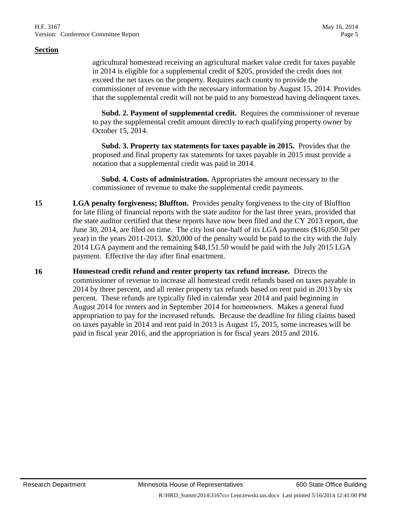agricultural homestead receiving an agricultural market value credit for taxes payable in 2014 is eligible for a supplemental credit of \$205, provided the credit does not exceed the net taxes on the property. Requires each county to provide the commissioner of revenue with the necessary information by August 15, 2014. Provides that the supplemental credit will not be paid to any homestead having delinquent taxes.

 **Subd. 2. Payment of supplemental credit.** Requires the commissioner of revenue to pay the supplemental credit amount directly to each qualifying property owner by October 15, 2014.

 **Subd. 3. Property tax statements for taxes payable in 2015.** Provides that the proposed and final property tax statements for taxes payable in 2015 must provide a notation that a supplemental credit was paid in 2014.

 **Subd. 4. Costs of administration.** Appropriates the amount necessary to the commissioner of revenue to make the supplemental credit payments.

- **15 LGA penalty forgiveness; Bluffton.** Provides penalty forgiveness to the city of Bluffton for late filing of financial reports with the state auditor for the last three years, provided that the state auditor certified that these reports have now been filed and the CY 2013 report, due June 30, 2014, are filed on time. The city lost one-half of its LGA payments (\$16,050.50 per year) in the years 2011-2013. \$20,000 of the penalty would be paid to the city with the July 2014 LGA payment and the remaining \$48,151.50 would be paid with the July 2015 LGA payment. Effective the day after final enactment.
- **16 Homestead credit refund and renter property tax refund increase.** Directs the commissioner of revenue to increase all homestead credit refunds based on taxes payable in 2014 by three percent, and all renter property tax refunds based on rent paid in 2013 by six percent. These refunds are typically filed in calendar year 2014 and paid beginning in August 2014 for renters and in September 2014 for homeowners. Makes a general fund appropriation to pay for the increased refunds. Because the deadline for filing claims based on taxes payable in 2014 and rent paid in 2013 is August 15, 2015, some increases will be paid in fiscal year 2016, and the appropriation is for fiscal years 2015 and 2016.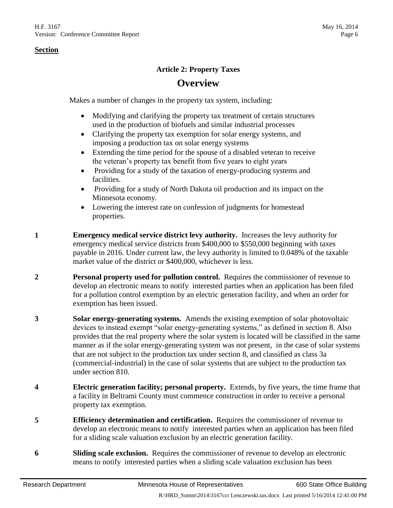#### **Article 2: Property Taxes**

# **Overview**

Makes a number of changes in the property tax system, including:

- Modifying and clarifying the property tax treatment of certain structures used in the production of biofuels and similar industrial processes
- Clarifying the property tax exemption for solar energy systems, and imposing a production tax on solar energy systems
- Extending the time period for the spouse of a disabled veteran to receive the veteran's property tax benefit from five years to eight years
- Providing for a study of the taxation of energy-producing systems and facilities.
- Providing for a study of North Dakota oil production and its impact on the Minnesota economy.
- Lowering the interest rate on confession of judgments for homestead properties.
- **1 Emergency medical service district levy authority.** Increases the levy authority for emergency medical service districts from \$400,000 to \$550,000 beginning with taxes payable in 2016. Under current law, the levy authority is limited to 0.048% of the taxable market value of the district or \$400,000, whichever is less.
- **2 Personal property used for pollution control.** Requires the commissioner of revenue to develop an electronic means to notify interested parties when an application has been filed for a pollution control exemption by an electric generation facility, and when an order for exemption has been issued.
- **3 Solar energy-generating systems.** Amends the existing exemption of solar photovoltaic devices to instead exempt "solar energy-generating systems," as defined in section 8. Also provides that the real property where the solar system is located will be classified in the same manner as if the solar energy-generating system was not present, in the case of solar systems that are not subject to the production tax under section 8, and classified as class 3a (commercial-industrial) in the case of solar systems that are subject to the production tax under section [810.](#page-6-0)
- **4 Electric generation facility; personal property.** Extends, by five years, the time frame that a facility in Beltrami County must commence construction in order to receive a personal property tax exemption.
- **5 Efficiency determination and certification.** Requires the commissioner of revenue to develop an electronic means to notify interested parties when an application has been filed for a sliding scale valuation exclusion by an electric generation facility.
- **6 Sliding scale exclusion.** Requires the commissioner of revenue to develop an electronic means to notify interested parties when a sliding scale valuation exclusion has been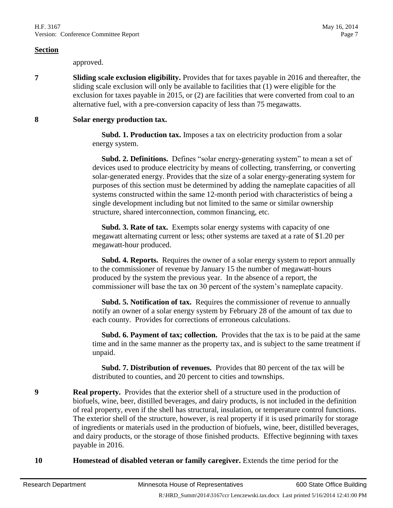approved.

**7 Sliding scale exclusion eligibility.** Provides that for taxes payable in 2016 and thereafter, the sliding scale exclusion will only be available to facilities that (1) were eligible for the exclusion for taxes payable in 2015, or (2) are facilities that were converted from coal to an alternative fuel, with a pre-conversion capacity of less than 75 megawatts.

#### **8 Solar energy production tax.**

 **Subd. 1. Production tax.** Imposes a tax on electricity production from a solar energy system.

**Subd. 2. Definitions.** Defines "solar energy-generating system" to mean a set of devices used to produce electricity by means of collecting, transferring, or converting solar-generated energy. Provides that the size of a solar energy-generating system for purposes of this section must be determined by adding the nameplate capacities of all systems constructed within the same 12-month period with characteristics of being a single development including but not limited to the same or similar ownership structure, shared interconnection, common financing, etc.

 **Subd. 3. Rate of tax.** Exempts solar energy systems with capacity of one megawatt alternating current or less; other systems are taxed at a rate of \$1.20 per megawatt-hour produced.

**Subd. 4. Reports.** Requires the owner of a solar energy system to report annually to the commissioner of revenue by January 15 the number of megawatt-hours produced by the system the previous year. In the absence of a report, the commissioner will base the tax on 30 percent of the system's nameplate capacity.

 **Subd. 5. Notification of tax.** Requires the commissioner of revenue to annually notify an owner of a solar energy system by February 28 of the amount of tax due to each county. Provides for corrections of erroneous calculations.

 **Subd. 6. Payment of tax; collection.** Provides that the tax is to be paid at the same time and in the same manner as the property tax, and is subject to the same treatment if unpaid.

 **Subd. 7. Distribution of revenues.** Provides that 80 percent of the tax will be distributed to counties, and 20 percent to cities and townships.

**9 Real property.** Provides that the exterior shell of a structure used in the production of biofuels, wine, beer, distilled beverages, and dairy products, is not included in the definition of real property, even if the shell has structural, insulation, or temperature control functions. The exterior shell of the structure, however, is real property if it is used primarily for storage of ingredients or materials used in the production of biofuels, wine, beer, distilled beverages, and dairy products, or the storage of those finished products. Effective beginning with taxes payable in 2016.

<span id="page-6-0"></span>**10 Homestead of disabled veteran or family caregiver.** Extends the time period for the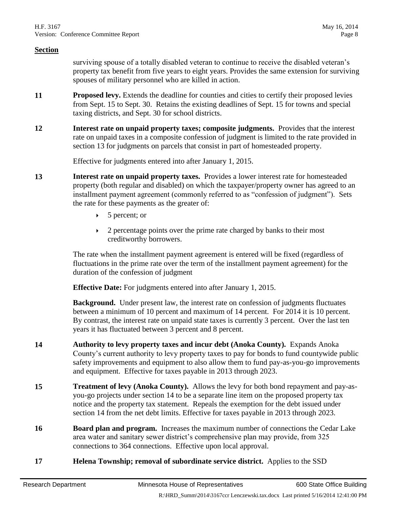surviving spouse of a totally disabled veteran to continue to receive the disabled veteran's property tax benefit from five years to eight years. Provides the same extension for surviving spouses of military personnel who are killed in action.

- **11 Proposed levy.** Extends the deadline for counties and cities to certify their proposed levies from Sept. 15 to Sept. 30. Retains the existing deadlines of Sept. 15 for towns and special taxing districts, and Sept. 30 for school districts.
- **12 Interest rate on unpaid property taxes; composite judgments.** Provides that the interest rate on unpaid taxes in a composite confession of judgment is limited to the rate provided in section 13 for judgments on parcels that consist in part of homesteaded property.

Effective for judgments entered into after January 1, 2015.

- **13 Interest rate on unpaid property taxes.** Provides a lower interest rate for homesteaded property (both regular and disabled) on which the taxpayer/property owner has agreed to an installment payment agreement (commonly referred to as "confession of judgment"). Sets the rate for these payments as the greater of:
	- $\triangleright$  5 percent; or
	- $\rightarrow$  2 percentage points over the prime rate charged by banks to their most creditworthy borrowers.

The rate when the installment payment agreement is entered will be fixed (regardless of fluctuations in the prime rate over the term of the installment payment agreement) for the duration of the confession of judgment

**Effective Date:** For judgments entered into after January 1, 2015.

**Background.** Under present law, the interest rate on confession of judgments fluctuates between a minimum of 10 percent and maximum of 14 percent. For 2014 it is 10 percent. By contrast, the interest rate on unpaid state taxes is currently 3 percent. Over the last ten years it has fluctuated between 3 percent and 8 percent.

- **14 Authority to levy property taxes and incur debt (Anoka County).** Expands Anoka County's current authority to levy property taxes to pay for bonds to fund countywide public safety improvements and equipment to also allow them to fund pay-as-you-go improvements and equipment. Effective for taxes payable in 2013 through 2023.
- **15 Treatment of levy (Anoka County).** Allows the levy for both bond repayment and pay-asyou-go projects under section 14 to be a separate line item on the proposed property tax notice and the property tax statement. Repeals the exemption for the debt issued under section 14 from the net debt limits. Effective for taxes payable in 2013 through 2023.
- **16 Board plan and program.** Increases the maximum number of connections the Cedar Lake area water and sanitary sewer district's comprehensive plan may provide, from 325 connections to 364 connections. Effective upon local approval.
- **17 Helena Township; removal of subordinate service district.** Applies to the SSD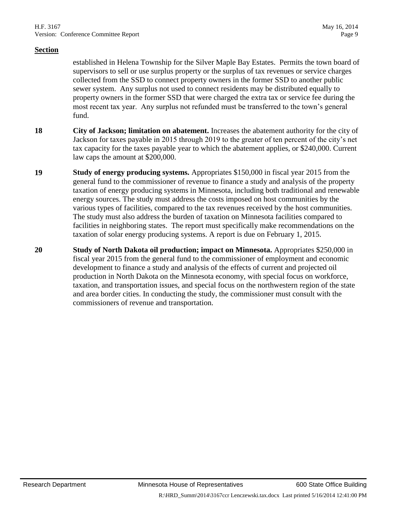established in Helena Township for the Silver Maple Bay Estates. Permits the town board of supervisors to sell or use surplus property or the surplus of tax revenues or service charges collected from the SSD to connect property owners in the former SSD to another public sewer system. Any surplus not used to connect residents may be distributed equally to property owners in the former SSD that were charged the extra tax or service fee during the most recent tax year. Any surplus not refunded must be transferred to the town's general fund.

- **18 City of Jackson; limitation on abatement.** Increases the abatement authority for the city of Jackson for taxes payable in 2015 through 2019 to the greater of ten percent of the city's net tax capacity for the taxes payable year to which the abatement applies, or \$240,000. Current law caps the amount at \$200,000.
- **19 Study of energy producing systems.** Appropriates \$150,000 in fiscal year 2015 from the general fund to the commissioner of revenue to finance a study and analysis of the property taxation of energy producing systems in Minnesota, including both traditional and renewable energy sources. The study must address the costs imposed on host communities by the various types of facilities, compared to the tax revenues received by the host communities. The study must also address the burden of taxation on Minnesota facilities compared to facilities in neighboring states. The report must specifically make recommendations on the taxation of solar energy producing systems. A report is due on February 1, 2015.
- **20 Study of North Dakota oil production; impact on Minnesota.** Appropriates \$250,000 in fiscal year 2015 from the general fund to the commissioner of employment and economic development to finance a study and analysis of the effects of current and projected oil production in North Dakota on the Minnesota economy, with special focus on workforce, taxation, and transportation issues, and special focus on the northwestern region of the state and area border cities. In conducting the study, the commissioner must consult with the commissioners of revenue and transportation.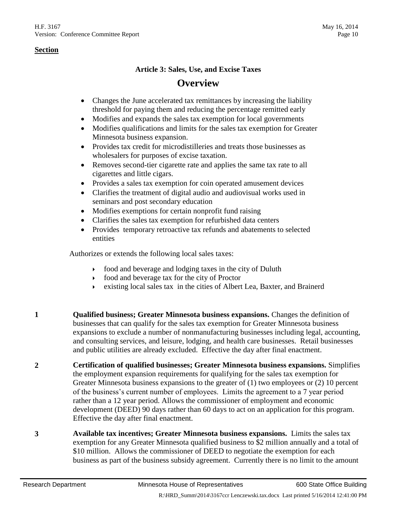#### **Article 3: Sales, Use, and Excise Taxes**

# **Overview**

- Changes the June accelerated tax remittances by increasing the liability threshold for paying them and reducing the percentage remitted early
- Modifies and expands the sales tax exemption for local governments
- Modifies qualifications and limits for the sales tax exemption for Greater Minnesota business expansion.
- Provides tax credit for microdistilleries and treats those businesses as wholesalers for purposes of excise taxation.
- Removes second-tier cigarette rate and applies the same tax rate to all cigarettes and little cigars.
- Provides a sales tax exemption for coin operated amusement devices
- Clarifies the treatment of digital audio and audiovisual works used in seminars and post secondary education
- Modifies exemptions for certain nonprofit fund raising
- Clarifies the sales tax exemption for refurbished data centers
- Provides temporary retroactive tax refunds and abatements to selected entities

Authorizes or extends the following local sales taxes:

- food and beverage and lodging taxes in the city of Duluth
- food and beverage tax for the city of Proctor
- existing local sales tax in the cities of Albert Lea, Baxter, and Brainerd
- **1 Qualified business; Greater Minnesota business expansions.** Changes the definition of businesses that can qualify for the sales tax exemption for Greater Minnesota business expansions to exclude a number of nonmanufacturing businesses including legal, accounting, and consulting services, and leisure, lodging, and health care businesses. Retail businesses and public utilities are already excluded. Effective the day after final enactment.

**2 Certification of qualified businesses; Greater Minnesota business expansions.** Simplifies the employment expansion requirements for qualifying for the sales tax exemption for Greater Minnesota business expansions to the greater of (1) two employees or (2) 10 percent of the business's current number of employees. Limits the agreement to a 7 year period rather than a 12 year period. Allows the commissioner of employment and economic development (DEED) 90 days rather than 60 days to act on an application for this program. Effective the day after final enactment.

**3 Available tax incentives; Greater Minnesota business expansions.** Limits the sales tax exemption for any Greater Minnesota qualified business to \$2 million annually and a total of \$10 million. Allows the commissioner of DEED to negotiate the exemption for each business as part of the business subsidy agreement. Currently there is no limit to the amount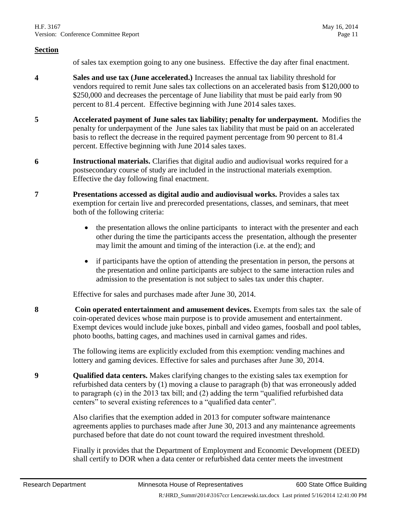of sales tax exemption going to any one business. Effective the day after final enactment.

- **4 Sales and use tax (June accelerated.)** Increases the annual tax liability threshold for vendors required to remit June sales tax collections on an accelerated basis from \$120,000 to \$250,000 and decreases the percentage of June liability that must be paid early from 90 percent to 81.4 percent. Effective beginning with June 2014 sales taxes.
- **5 Accelerated payment of June sales tax liability; penalty for underpayment.** Modifies the penalty for underpayment of the June sales tax liability that must be paid on an accelerated basis to reflect the decrease in the required payment percentage from 90 percent to 81.4 percent. Effective beginning with June 2014 sales taxes.
- **6 Instructional materials.** Clarifies that digital audio and audiovisual works required for a postsecondary course of study are included in the instructional materials exemption. Effective the day following final enactment.
- **7 Presentations accessed as digital audio and audiovisual works.** Provides a sales tax exemption for certain live and prerecorded presentations, classes, and seminars, that meet both of the following criteria:
	- the presentation allows the online participants to interact with the presenter and each other during the time the participants access the presentation, although the presenter may limit the amount and timing of the interaction (i.e. at the end); and
	- if participants have the option of attending the presentation in person, the persons at the presentation and online participants are subject to the same interaction rules and admission to the presentation is not subject to sales tax under this chapter.

Effective for sales and purchases made after June 30, 2014.

**8 Coin operated entertainment and amusement devices.** Exempts from sales tax the sale of coin-operated devices whose main purpose is to provide amusement and entertainment. Exempt devices would include juke boxes, pinball and video games, foosball and pool tables, photo booths, batting cages, and machines used in carnival games and rides.

> The following items are explicitly excluded from this exemption: vending machines and lottery and gaming devices. Effective for sales and purchases after June 30, 2014.

<span id="page-10-0"></span>**9 Qualified data centers.** Makes clarifying changes to the existing sales tax exemption for refurbished data centers by (1) moving a clause to paragraph (b) that was erroneously added to paragraph (c) in the 2013 tax bill; and (2) adding the term "qualified refurbished data centers" to several existing references to a "qualified data center".

> Also clarifies that the exemption added in 2013 for computer software maintenance agreements applies to purchases made after June 30, 2013 and any maintenance agreements purchased before that date do not count toward the required investment threshold.

Finally it provides that the Department of Employment and Economic Development (DEED) shall certify to DOR when a data center or refurbished data center meets the investment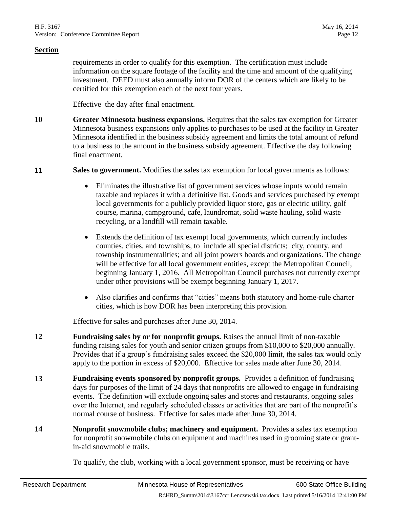requirements in order to qualify for this exemption. The certification must include information on the square footage of the facility and the time and amount of the qualifying investment. DEED must also annually inform DOR of the centers which are likely to be certified for this exemption each of the next four years.

Effective the day after final enactment.

**10 Greater Minnesota business expansions.** Requires that the sales tax exemption for Greater Minnesota business expansions only applies to purchases to be used at the facility in Greater Minnesota identified in the business subsidy agreement and limits the total amount of refund to a business to the amount in the business subsidy agreement. Effective the day following final enactment.

#### **11 Sales to government.** Modifies the sales tax exemption for local governments as follows:

- Eliminates the illustrative list of government services whose inputs would remain taxable and replaces it with a definitive list. Goods and services purchased by exempt local governments for a publicly provided liquor store, gas or electric utility, golf course, marina, campground, cafe, laundromat, solid waste hauling, solid waste recycling, or a landfill will remain taxable.
- Extends the definition of tax exempt local governments, which currently includes counties, cities, and townships, to include all special districts; city, county, and township instrumentalities; and all joint powers boards and organizations. The change will be effective for all local government entities, except the Metropolitan Council, beginning January 1, 2016. All Metropolitan Council purchases not currently exempt under other provisions will be exempt beginning January 1, 2017.
- Also clarifies and confirms that "cities" means both statutory and home-rule charter cities, which is how DOR has been interpreting this provision.

Effective for sales and purchases after June 30, 2014.

- **12 Fundraising sales by or for nonprofit groups.** Raises the annual limit of non-taxable funding raising sales for youth and senior citizen groups from \$10,000 to \$20,000 annually. Provides that if a group's fundraising sales exceed the \$20,000 limit, the sales tax would only apply to the portion in excess of \$20,000. Effective for sales made after June 30, 2014.
- **13 Fundraising events sponsored by nonprofit groups.** Provides a definition of fundraising days for purposes of the limit of 24 days that nonprofits are allowed to engage in fundraising events. The definition will exclude ongoing sales and stores and restaurants, ongoing sales over the Internet, and regularly scheduled classes or activities that are part of the nonprofit's normal course of business. Effective for sales made after June 30, 2014.
- **14 Nonprofit snowmobile clubs; machinery and equipment.** Provides a sales tax exemption for nonprofit snowmobile clubs on equipment and machines used in grooming state or grantin-aid snowmobile trails.

To qualify, the club, working with a local government sponsor, must be receiving or have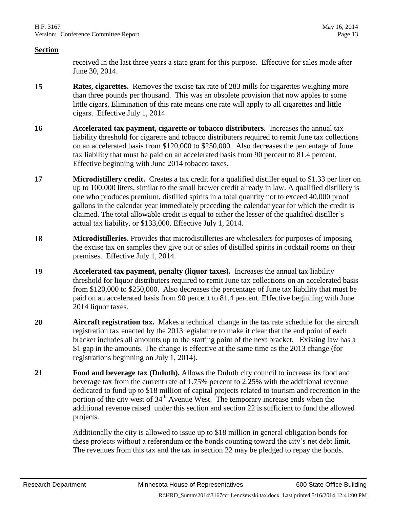received in the last three years a state grant for this purpose. Effective for sales made after June 30, 2014.

- **15 Rates, cigarettes.** Removes the excise tax rate of 283 mills for cigarettes weighing more than three pounds per thousand. This was an obsolete provision that now apples to some little cigars. Elimination of this rate means one rate will apply to all cigarettes and little cigars. Effective July 1, 2014
- **16 Accelerated tax payment, cigarette or tobacco distributers.** Increases the annual tax liability threshold for cigarette and tobacco distributers required to remit June tax collections on an accelerated basis from \$120,000 to \$250,000. Also decreases the percentage of June tax liability that must be paid on an accelerated basis from 90 percent to 81.4 percent. Effective beginning with June 2014 tobacco taxes.
- **17 Microdistillery credit.** Creates a tax credit for a qualified distiller equal to \$1.33 per liter on up to 100,000 liters, similar to the small brewer credit already in law. A qualified distillery is one who produces premium, distilled spirits in a total quantity not to exceed 40,000 proof gallons in the calendar year immediately preceding the calendar year for which the credit is claimed. The total allowable credit is equal to either the lesser of the qualified distiller's actual tax liability, or \$133,000. Effective July 1, 2014.
- **18 Microdistilleries.** Provides that microdistilleries are wholesalers for purposes of imposing the excise tax on samples they give out or sales of distilled spirits in cocktail rooms on their premises. Effective July 1, 2014.
- **19 Accelerated tax payment, penalty (liquor taxes).** Increases the annual tax liability threshold for liquor distributers required to remit June tax collections on an accelerated basis from \$120,000 to \$250,000. Also decreases the percentage of June tax liability that must be paid on an accelerated basis from 90 percent to 81.4 percent. Effective beginning with June 2014 liquor taxes.
- **20 Aircraft registration tax.** Makes a technical change in the tax rate schedule for the aircraft registration tax enacted by the 2013 legislature to make it clear that the end point of each bracket includes all amounts up to the starting point of the next bracket. Existing law has a \$1 gap in the amounts. The change is effective at the same time as the 2013 change (for registrations beginning on July 1, 2014).
- <span id="page-12-0"></span>**21 Food and beverage tax (Duluth).** Allows the Duluth city council to increase its food and beverage tax from the current rate of 1.75% percent to 2.25% with the additional revenue dedicated to fund up to \$18 million of capital projects related to tourism and recreation in the portion of the city west of  $34<sup>th</sup>$  Avenue West. The temporary increase ends when the additional revenue raised under this section and section [22](#page-13-0) is sufficient to fund the allowed projects.

Additionally the city is allowed to issue up to \$18 million in general obligation bonds for these projects without a referendum or the bonds counting toward the city's net debt limit. The revenues from this tax and the tax in section [22](#page-13-0) may be pledged to repay the bonds.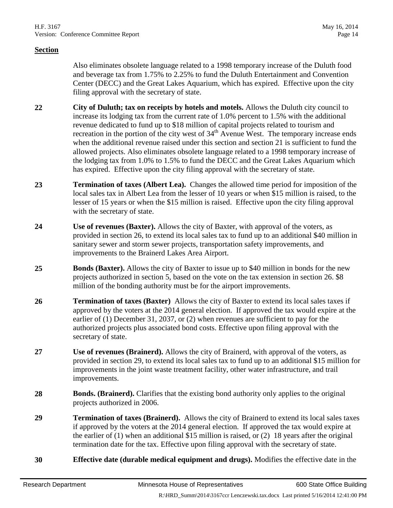Also eliminates obsolete language related to a 1998 temporary increase of the Duluth food and beverage tax from 1.75% to 2.25% to fund the Duluth Entertainment and Convention Center (DECC) and the Great Lakes Aquarium, which has expired. Effective upon the city filing approval with the secretary of state.

- <span id="page-13-0"></span>**22 City of Duluth; tax on receipts by hotels and motels.** Allows the Duluth city council to increase its lodging tax from the current rate of 1.0% percent to 1.5% with the additional revenue dedicated to fund up to \$18 million of capital projects related to tourism and recreation in the portion of the city west of  $34<sup>th</sup>$  Avenue West. The temporary increase ends when the additional revenue raised under this section and section [21](#page-12-0) is sufficient to fund the allowed projects. Also eliminates obsolete language related to a 1998 temporary increase of the lodging tax from 1.0% to 1.5% to fund the DECC and the Great Lakes Aquarium which has expired. Effective upon the city filing approval with the secretary of state.
- **23 Termination of taxes (Albert Lea).** Changes the allowed time period for imposition of the local sales tax in Albert Lea from the lesser of 10 years or when \$15 million is raised, to the lesser of 15 years or when the \$15 million is raised. Effective upon the city filing approval with the secretary of state.
- **24 Use of revenues (Baxter).** Allows the city of Baxter, with approval of the voters, as provided in section [26,](#page-13-1) to extend its local sales tax to fund up to an additional \$40 million in sanitary sewer and storm sewer projects, transportation safety improvements, and improvements to the Brainerd Lakes Area Airport.
- **25 Bonds (Baxter).** Allows the city of Baxter to issue up to \$40 million in bonds for the new projects authorized in section [5,](#page-2-1) based on the vote on the tax extension in section [26.](#page-13-1) \$8 million of the bonding authority must be for the airport improvements.
- <span id="page-13-1"></span>**26 Termination of taxes (Baxter)** Allows the city of Baxter to extend its local sales taxes if approved by the voters at the 2014 general election. If approved the tax would expire at the earlier of (1) December 31, 2037, or (2) when revenues are sufficient to pay for the authorized projects plus associated bond costs. Effective upon filing approval with the secretary of state.
- **27 Use of revenues (Brainerd).** Allows the city of Brainerd, with approval of the voters, as provided in section [29,](#page-13-2) to extend its local sales tax to fund up to an additional \$15 million for improvements in the joint waste treatment facility, other water infrastructure, and trail improvements.
- **28 Bonds. (Brainerd).** Clarifies that the existing bond authority only applies to the original projects authorized in 2006.
- <span id="page-13-2"></span>**29 Termination of taxes (Brainerd).** Allows the city of Brainerd to extend its local sales taxes if approved by the voters at the 2014 general election. If approved the tax would expire at the earlier of  $(1)$  when an additional \$15 million is raised, or  $(2)$  18 years after the original termination date for the tax. Effective upon filing approval with the secretary of state.
- **30 Effective date (durable medical equipment and drugs).** Modifies the effective date in the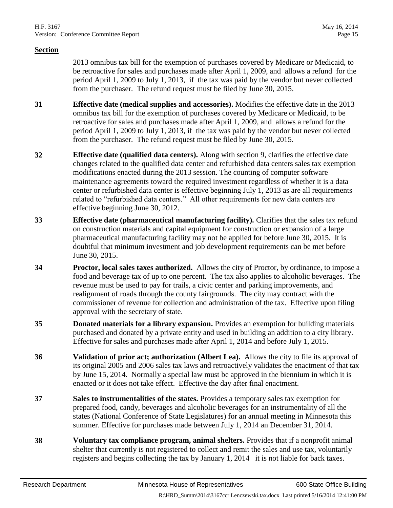2013 omnibus tax bill for the exemption of purchases covered by Medicare or Medicaid, to be retroactive for sales and purchases made after April 1, 2009, and allows a refund for the period April 1, 2009 to July 1, 2013, if the tax was paid by the vendor but never collected from the purchaser. The refund request must be filed by June 30, 2015.

- **31 Effective date (medical supplies and accessories).** Modifies the effective date in the 2013 omnibus tax bill for the exemption of purchases covered by Medicare or Medicaid, to be retroactive for sales and purchases made after April 1, 2009, and allows a refund for the period April 1, 2009 to July 1, 2013, if the tax was paid by the vendor but never collected from the purchaser. The refund request must be filed by June 30, 2015.
- **32 Effective date (qualified data centers).** Along with section [9,](#page-10-0) clarifies the effective date changes related to the qualified data center and refurbished data centers sales tax exemption modifications enacted during the 2013 session. The counting of computer software maintenance agreements toward the required investment regardless of whether it is a data center or refurbished data center is effective beginning July 1, 2013 as are all requirements related to "refurbished data centers." All other requirements for new data centers are effective beginning June 30, 2012.
- **33 Effective date (pharmaceutical manufacturing facility).** Clarifies that the sales tax refund on construction materials and capital equipment for construction or expansion of a large pharmaceutical manufacturing facility may not be applied for before June 30, 2015. It is doubtful that minimum investment and job development requirements can be met before June 30, 2015.
- **34 Proctor, local sales taxes authorized.** Allows the city of Proctor, by ordinance, to impose a food and beverage tax of up to one percent. The tax also applies to alcoholic beverages. The revenue must be used to pay for trails, a civic center and parking improvements, and realignment of roads through the county fairgrounds. The city may contract with the commissioner of revenue for collection and administration of the tax. Effective upon filing approval with the secretary of state.
- **35 Donated materials for a library expansion.** Provides an exemption for building materials purchased and donated by a private entity and used in building an addition to a city library. Effective for sales and purchases made after April 1, 2014 and before July 1, 2015.
- **36 Validation of prior act; authorization (Albert Lea).** Allows the city to file its approval of its original 2005 and 2006 sales tax laws and retroactively validates the enactment of that tax by June 15, 2014. Normally a special law must be approved in the biennium in which it is enacted or it does not take effect. Effective the day after final enactment.
- **37 Sales to instrumentalities of the states.** Provides a temporary sales tax exemption for prepared food, candy, beverages and alcoholic beverages for an instrumentality of all the states (National Conference of State Legislatures) for an annual meeting in Minnesota this summer. Effective for purchases made between July 1, 2014 an December 31, 2014.
- **38 Voluntary tax compliance program, animal shelters.** Provides that if a nonprofit animal shelter that currently is not registered to collect and remit the sales and use tax, voluntarily registers and begins collecting the tax by January 1, 2014 it is not liable for back taxes.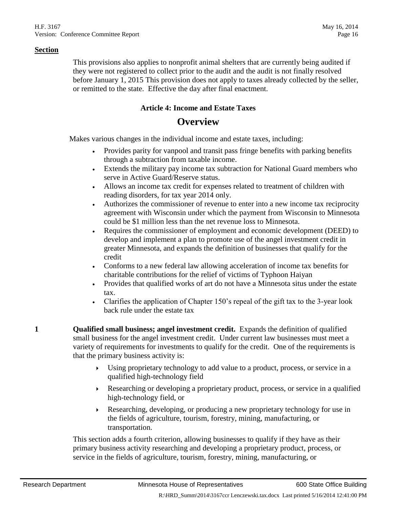This provisions also applies to nonprofit animal shelters that are currently being audited if they were not registered to collect prior to the audit and the audit is not finally resolved before January 1, 2015 This provision does not apply to taxes already collected by the seller, or remitted to the state. Effective the day after final enactment.

#### **Article 4: Income and Estate Taxes**

### **Overview**

Makes various changes in the individual income and estate taxes, including:

- Provides parity for vanpool and transit pass fringe benefits with parking benefits through a subtraction from taxable income.
- Extends the military pay income tax subtraction for National Guard members who serve in Active Guard/Reserve status.
- Allows an income tax credit for expenses related to treatment of children with reading disorders, for tax year 2014 only.
- Authorizes the commissioner of revenue to enter into a new income tax reciprocity agreement with Wisconsin under which the payment from Wisconsin to Minnesota could be \$1 million less than the net revenue loss to Minnesota.
- Requires the commissioner of employment and economic development (DEED) to develop and implement a plan to promote use of the angel investment credit in greater Minnesota, and expands the definition of businesses that qualify for the credit
- Conforms to a new federal law allowing acceleration of income tax benefits for charitable contributions for the relief of victims of Typhoon Haiyan
- Provides that qualified works of art do not have a Minnesota situs under the estate tax.
- Clarifies the application of Chapter 150's repeal of the gift tax to the 3-year look back rule under the estate tax

**1 Qualified small business; angel investment credit.** Expands the definition of qualified small business for the angel investment credit. Under current law businesses must meet a variety of requirements for investments to qualify for the credit. One of the requirements is that the primary business activity is:

- Using proprietary technology to add value to a product, process, or service in a qualified high-technology field
- Researching or developing a proprietary product, process, or service in a qualified high-technology field, or
- Researching, developing, or producing a new proprietary technology for use in the fields of agriculture, tourism, forestry, mining, manufacturing, or transportation.

This section adds a fourth criterion, allowing businesses to qualify if they have as their primary business activity researching and developing a proprietary product, process, or service in the fields of agriculture, tourism, forestry, mining, manufacturing, or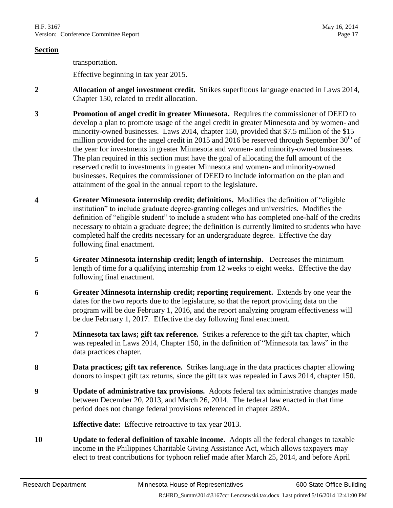transportation.

Effective beginning in tax year 2015.

- **2 Allocation of angel investment credit.** Strikes superfluous language enacted in Laws 2014, Chapter 150, related to credit allocation.
- **3 Promotion of angel credit in greater Minnesota.** Requires the commissioner of DEED to develop a plan to promote usage of the angel credit in greater Minnesota and by women- and minority-owned businesses. Laws 2014, chapter 150, provided that \$7.5 million of the \$15 million provided for the angel credit in 2015 and 2016 be reserved through September  $30<sup>th</sup>$  of the year for investments in greater Minnesota and women- and minority-owned businesses. The plan required in this section must have the goal of allocating the full amount of the reserved credit to investments in greater Minnesota and women- and minority-owned businesses. Requires the commissioner of DEED to include information on the plan and attainment of the goal in the annual report to the legislature.
- **4 Greater Minnesota internship credit; definitions.** Modifies the definition of "eligible institution" to include graduate degree-granting colleges and universities. Modifies the definition of "eligible student" to include a student who has completed one-half of the credits necessary to obtain a graduate degree; the definition is currently limited to students who have completed half the credits necessary for an undergraduate degree. Effective the day following final enactment.
- **5 Greater Minnesota internship credit; length of internship.** Decreases the minimum length of time for a qualifying internship from 12 weeks to eight weeks. Effective the day following final enactment.
- **6 Greater Minnesota internship credit; reporting requirement.** Extends by one year the dates for the two reports due to the legislature, so that the report providing data on the program will be due February 1, 2016, and the report analyzing program effectiveness will be due February 1, 2017. Effective the day following final enactment.
- **7 Minnesota tax laws; gift tax reference.** Strikes a reference to the gift tax chapter, which was repealed in Laws 2014, Chapter 150, in the definition of "Minnesota tax laws" in the data practices chapter.
- **8 Data practices; gift tax reference.** Strikes language in the data practices chapter allowing donors to inspect gift tax returns, since the gift tax was repealed in Laws 2014, chapter 150.
- **9 Update of administrative tax provisions.** Adopts federal tax administrative changes made between December 20, 2013, and March 26, 2014. The federal law enacted in that time period does not change federal provisions referenced in chapter 289A.

**Effective date:** Effective retroactive to tax year 2013.

<span id="page-16-0"></span>**10 Update to federal definition of taxable income.** Adopts all the federal changes to taxable income in the Philippines Charitable Giving Assistance Act, which allows taxpayers may elect to treat contributions for typhoon relief made after March 25, 2014, and before April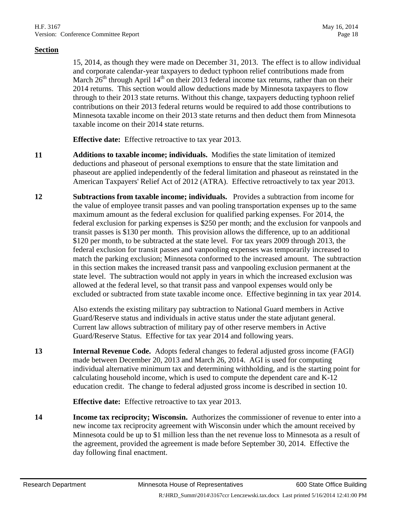15, 2014, as though they were made on December 31, 2013. The effect is to allow individual and corporate calendar-year taxpayers to deduct typhoon relief contributions made from March  $26<sup>th</sup>$  through April 14<sup>th</sup> on their 2013 federal income tax returns, rather than on their 2014 returns. This section would allow deductions made by Minnesota taxpayers to flow through to their 2013 state returns. Without this change, taxpayers deducting typhoon relief contributions on their 2013 federal returns would be required to add those contributions to Minnesota taxable income on their 2013 state returns and then deduct them from Minnesota taxable income on their 2014 state returns.

**Effective date:** Effective retroactive to tax year 2013.

- **11 Additions to taxable income; individuals.** Modifies the state limitation of itemized deductions and phaseout of personal exemptions to ensure that the state limitation and phaseout are applied independently of the federal limitation and phaseout as reinstated in the American Taxpayers' Relief Act of 2012 (ATRA). Effective retroactively to tax year 2013.
- <span id="page-17-0"></span>**12 Subtractions from taxable income; individuals.** Provides a subtraction from income for the value of employee transit passes and van pooling transportation expenses up to the same maximum amount as the federal exclusion for qualified parking expenses. For 2014, the federal exclusion for parking expenses is \$250 per month; and the exclusion for vanpools and transit passes is \$130 per month. This provision allows the difference, up to an additional \$120 per month, to be subtracted at the state level. For tax years 2009 through 2013, the federal exclusion for transit passes and vanpooling expenses was temporarily increased to match the parking exclusion; Minnesota conformed to the increased amount. The subtraction in this section makes the increased transit pass and vanpooling exclusion permanent at the state level. The subtraction would not apply in years in which the increased exclusion was allowed at the federal level, so that transit pass and vanpool expenses would only be excluded or subtracted from state taxable income once. Effective beginning in tax year 2014.

Also extends the existing military pay subtraction to National Guard members in Active Guard/Reserve status and individuals in active status under the state adjutant general. Current law allows subtraction of military pay of other reserve members in Active Guard/Reserve Status. Effective for tax year 2014 and following years.

**13 Internal Revenue Code.** Adopts federal changes to federal adjusted gross income (FAGI) made between December 20, 2013 and March 26, 2014. AGI is used for computing individual alternative minimum tax and determining withholding, and is the starting point for calculating household income, which is used to compute the dependent care and K-12 education credit. The change to federal adjusted gross income is described in section [10.](#page-16-0)

**Effective date:** Effective retroactive to tax year 2013.

**14 Income tax reciprocity; Wisconsin.** Authorizes the commissioner of revenue to enter into a new income tax reciprocity agreement with Wisconsin under which the amount received by Minnesota could be up to \$1 million less than the net revenue loss to Minnesota as a result of the agreement, provided the agreement is made before September 30, 2014. Effective the day following final enactment.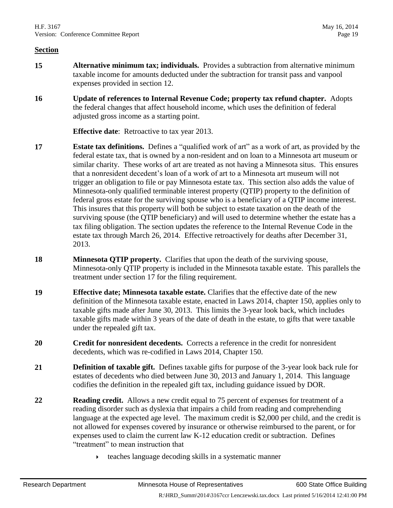- **15 Alternative minimum tax; individuals.** Provides a subtraction from alternative minimum taxable income for amounts deducted under the subtraction for transit pass and vanpool expenses provided in section [12.](#page-17-0)
- **16 Update of references to Internal Revenue Code; property tax refund chapter.** Adopts the federal changes that affect household income, which uses the definition of federal adjusted gross income as a starting point.

**Effective date**: Retroactive to tax year 2013.

- **17 Estate tax definitions.** Defines a "qualified work of art" as a work of art, as provided by the federal estate tax, that is owned by a non-resident and on loan to a Minnesota art museum or similar charity. These works of art are treated as not having a Minnesota situs. This ensures that a nonresident decedent's loan of a work of art to a Minnesota art museum will not trigger an obligation to file or pay Minnesota estate tax. This section also adds the value of Minnesota-only qualified terminable interest property (QTIP) property to the definition of federal gross estate for the surviving spouse who is a beneficiary of a QTIP income interest. This insures that this property will both be subject to estate taxation on the death of the surviving spouse (the QTIP beneficiary) and will used to determine whether the estate has a tax filing obligation. The section updates the reference to the Internal Revenue Code in the estate tax through March 26, 2014. Effective retroactively for deaths after December 31, 2013.
- **18 Minnesota QTIP property.** Clarifies that upon the death of the surviving spouse, Minnesota-only QTIP property is included in the Minnesota taxable estate. This parallels the treatment under section 17 for the filing requirement.
- **19 Effective date; Minnesota taxable estate.** Clarifies that the effective date of the new definition of the Minnesota taxable estate, enacted in Laws 2014, chapter 150, applies only to taxable gifts made after June 30, 2013. This limits the 3-year look back, which includes taxable gifts made within 3 years of the date of death in the estate, to gifts that were taxable under the repealed gift tax.
- **20 Credit for nonresident decedents.** Corrects a reference in the credit for nonresident decedents, which was re-codified in Laws 2014, Chapter 150.
- **21 Definition of taxable gift.** Defines taxable gifts for purpose of the 3-year look back rule for estates of decedents who died between June 30, 2013 and January 1, 2014. This language codifies the definition in the repealed gift tax, including guidance issued by DOR.
- **22 Reading credit.** Allows a new credit equal to 75 percent of expenses for treatment of a reading disorder such as dyslexia that impairs a child from reading and comprehending language at the expected age level. The maximum credit is \$2,000 per child, and the credit is not allowed for expenses covered by insurance or otherwise reimbursed to the parent, or for expenses used to claim the current law K-12 education credit or subtraction. Defines "treatment" to mean instruction that
	- $\rightarrow$  teaches language decoding skills in a systematic manner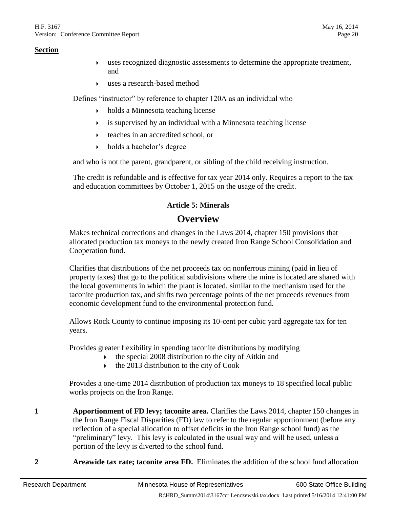- uses recognized diagnostic assessments to determine the appropriate treatment, and
- uses a research-based method

Defines "instructor" by reference to chapter 120A as an individual who

- $\rightarrow$  holds a Minnesota teaching license
- is supervised by an individual with a Minnesota teaching license
- $\rightarrow$  teaches in an accredited school, or
- holds a bachelor's degree

and who is not the parent, grandparent, or sibling of the child receiving instruction.

The credit is refundable and is effective for tax year 2014 only. Requires a report to the tax and education committees by October 1, 2015 on the usage of the credit.

#### **Article 5: Minerals**

# **Overview**

Makes technical corrections and changes in the Laws 2014, chapter 150 provisions that allocated production tax moneys to the newly created Iron Range School Consolidation and Cooperation fund.

Clarifies that distributions of the net proceeds tax on nonferrous mining (paid in lieu of property taxes) that go to the political subdivisions where the mine is located are shared with the local governments in which the plant is located, similar to the mechanism used for the taconite production tax, and shifts two percentage points of the net proceeds revenues from economic development fund to the environmental protection fund.

Allows Rock County to continue imposing its 10-cent per cubic yard aggregate tax for ten years.

Provides greater flexibility in spending taconite distributions by modifying

- the special 2008 distribution to the city of Aitkin and
- $\cdot$  the 2013 distribution to the city of Cook

Provides a one-time 2014 distribution of production tax moneys to 18 specified local public works projects on the Iron Range.

- **1 Apportionment of FD levy; taconite area.** Clarifies the Laws 2014, chapter 150 changes in the Iron Range Fiscal Disparities (FD) law to refer to the regular apportionment (before any reflection of a special allocation to offset deficits in the Iron Range school fund) as the "preliminary" levy. This levy is calculated in the usual way and will be used, unless a portion of the levy is diverted to the school fund.
- **2 Areawide tax rate; taconite area FD.** Eliminates the addition of the school fund allocation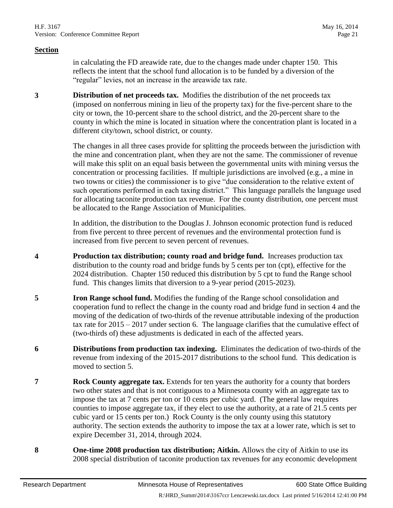in calculating the FD areawide rate, due to the changes made under chapter 150. This reflects the intent that the school fund allocation is to be funded by a diversion of the "regular" levies, not an increase in the areawide tax rate.

**3 Distribution of net proceeds tax.** Modifies the distribution of the net proceeds tax (imposed on nonferrous mining in lieu of the property tax) for the five-percent share to the city or town, the 10-percent share to the school district, and the 20-percent share to the county in which the mine is located in situation where the concentration plant is located in a different city/town, school district, or county.

> The changes in all three cases provide for splitting the proceeds between the jurisdiction with the mine and concentration plant, when they are not the same. The commissioner of revenue will make this split on an equal basis between the governmental units with mining versus the concentration or processing facilities. If multiple jurisdictions are involved (e.g., a mine in two towns or cities) the commissioner is to give "due consideration to the relative extent of such operations performed in each taxing district." This language parallels the language used for allocating taconite production tax revenue. For the county distribution, one percent must be allocated to the Range Association of Municipalities.

In addition, the distribution to the Douglas J. Johnson economic protection fund is reduced from five percent to three percent of revenues and the environmental protection fund is increased from five percent to seven percent of revenues.

- <span id="page-20-0"></span>**4 Production tax distribution; county road and bridge fund.** Increases production tax distribution to the county road and bridge funds by 5 cents per ton (cpt), effective for the 2024 distribution. Chapter 150 reduced this distribution by 5 cpt to fund the Range school fund. This changes limits that diversion to a 9-year period (2015-2023).
- <span id="page-20-2"></span>**5 Iron Range school fund.** Modifies the funding of the Range school consolidation and cooperation fund to reflect the change in the county road and bridge fund in section [4](#page-20-0) and the moving of the dedication of two-thirds of the revenue attributable indexing of the production tax rate for 2015 – 2017 under section [6.](#page-20-1) The language clarifies that the cumulative effect of (two-thirds of) these adjustments is dedicated in each of the affected years.
- <span id="page-20-1"></span>**6 Distributions from production tax indexing.** Eliminates the dedication of two-thirds of the revenue from indexing of the 2015-2017 distributions to the school fund. This dedication is moved to section [5.](#page-20-2)
- **7 Rock County aggregate tax.** Extends for ten years the authority for a county that borders two other states and that is not contiguous to a Minnesota county with an aggregate tax to impose the tax at 7 cents per ton or 10 cents per cubic yard. (The general law requires counties to impose aggregate tax, if they elect to use the authority, at a rate of 21.5 cents per cubic yard or 15 cents per ton.) Rock County is the only county using this statutory authority. The section extends the authority to impose the tax at a lower rate, which is set to expire December 31, 2014, through 2024.
- **8 One-time 2008 production tax distribution; Aitkin.** Allows the city of Aitkin to use its 2008 special distribution of taconite production tax revenues for any economic development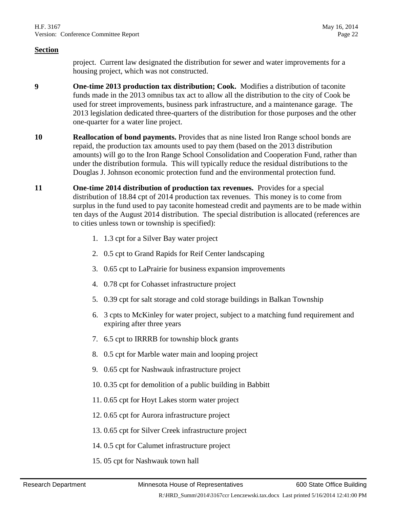project. Current law designated the distribution for sewer and water improvements for a housing project, which was not constructed.

- **9 One-time 2013 production tax distribution; Cook.** Modifies a distribution of taconite funds made in the 2013 omnibus tax act to allow all the distribution to the city of Cook be used for street improvements, business park infrastructure, and a maintenance garage. The 2013 legislation dedicated three-quarters of the distribution for those purposes and the other one-quarter for a water line project.
- **10 Reallocation of bond payments.** Provides that as nine listed Iron Range school bonds are repaid, the production tax amounts used to pay them (based on the 2013 distribution amounts) will go to the Iron Range School Consolidation and Cooperation Fund, rather than under the distribution formula. This will typically reduce the residual distributions to the Douglas J. Johnson economic protection fund and the environmental protection fund.
- **11 One-time 2014 distribution of production tax revenues.** Provides for a special distribution of 18.84 cpt of 2014 production tax revenues. This money is to come from surplus in the fund used to pay taconite homestead credit and payments are to be made within ten days of the August 2014 distribution. The special distribution is allocated (references are to cities unless town or township is specified):
	- 1. 1.3 cpt for a Silver Bay water project
	- 2. 0.5 cpt to Grand Rapids for Reif Center landscaping
	- 3. 0.65 cpt to LaPrairie for business expansion improvements
	- 4. 0.78 cpt for Cohasset infrastructure project
	- 5. 0.39 cpt for salt storage and cold storage buildings in Balkan Township
	- 6. 3 cpts to McKinley for water project, subject to a matching fund requirement and expiring after three years
	- 7. 6.5 cpt to IRRRB for township block grants
	- 8. 0.5 cpt for Marble water main and looping project
	- 9. 0.65 cpt for Nashwauk infrastructure project
	- 10. 0.35 cpt for demolition of a public building in Babbitt
	- 11. 0.65 cpt for Hoyt Lakes storm water project
	- 12. 0.65 cpt for Aurora infrastructure project
	- 13. 0.65 cpt for Silver Creek infrastructure project
	- 14. 0.5 cpt for Calumet infrastructure project
	- 15. 05 cpt for Nashwauk town hall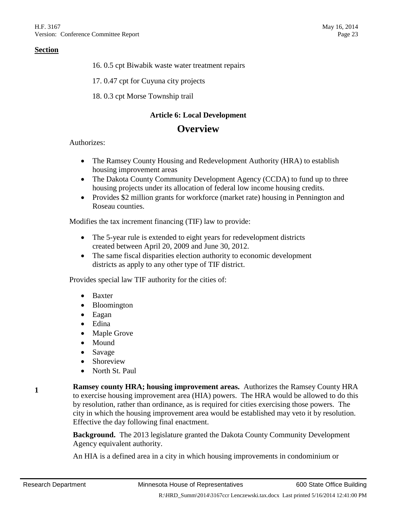16. 0.5 cpt Biwabik waste water treatment repairs

17. 0.47 cpt for Cuyuna city projects

18. 0.3 cpt Morse Township trail

#### **Article 6: Local Development**

### **Overview**

Authorizes:

- The Ramsey County Housing and Redevelopment Authority (HRA) to establish housing improvement areas
- The Dakota County Community Development Agency (CCDA) to fund up to three housing projects under its allocation of federal low income housing credits.
- Provides \$2 million grants for workforce (market rate) housing in Pennington and Roseau counties.

Modifies the tax increment financing (TIF) law to provide:

- The 5-year rule is extended to eight years for redevelopment districts created between April 20, 2009 and June 30, 2012.
- The same fiscal disparities election authority to economic development districts as apply to any other type of TIF district.

Provides special law TIF authority for the cities of:

- Baxter
- Bloomington
- Eagan
- Edina
- Maple Grove
- Mound
- Savage
- Shoreview
- North St. Paul

**Ramsey county HRA; housing improvement areas.** Authorizes the Ramsey County HRA to exercise housing improvement area (HIA) powers. The HRA would be allowed to do this by resolution, rather than ordinance, as is required for cities exercising those powers. The city in which the housing improvement area would be established may veto it by resolution. Effective the day following final enactment.

**Background.** The 2013 legislature granted the Dakota County Community Development Agency equivalent authority.

An HIA is a defined area in a city in which housing improvements in condominium or

**1**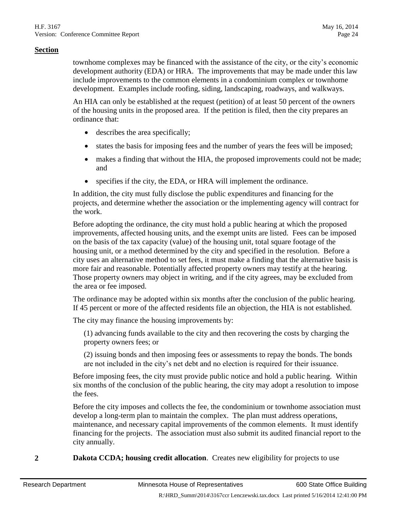townhome complexes may be financed with the assistance of the city, or the city's economic development authority (EDA) or HRA. The improvements that may be made under this law include improvements to the common elements in a condominium complex or townhome development. Examples include roofing, siding, landscaping, roadways, and walkways.

An HIA can only be established at the request (petition) of at least 50 percent of the owners of the housing units in the proposed area. If the petition is filed, then the city prepares an ordinance that:

- describes the area specifically;
- states the basis for imposing fees and the number of years the fees will be imposed;
- makes a finding that without the HIA, the proposed improvements could not be made; and
- specifies if the city, the EDA, or HRA will implement the ordinance.

In addition, the city must fully disclose the public expenditures and financing for the projects, and determine whether the association or the implementing agency will contract for the work.

Before adopting the ordinance, the city must hold a public hearing at which the proposed improvements, affected housing units, and the exempt units are listed. Fees can be imposed on the basis of the tax capacity (value) of the housing unit, total square footage of the housing unit, or a method determined by the city and specified in the resolution. Before a city uses an alternative method to set fees, it must make a finding that the alternative basis is more fair and reasonable. Potentially affected property owners may testify at the hearing. Those property owners may object in writing, and if the city agrees, may be excluded from the area or fee imposed.

The ordinance may be adopted within six months after the conclusion of the public hearing. If 45 percent or more of the affected residents file an objection, the HIA is not established.

The city may finance the housing improvements by:

(1) advancing funds available to the city and then recovering the costs by charging the property owners fees; or

(2) issuing bonds and then imposing fees or assessments to repay the bonds. The bonds are not included in the city's net debt and no election is required for their issuance.

Before imposing fees, the city must provide public notice and hold a public hearing. Within six months of the conclusion of the public hearing, the city may adopt a resolution to impose the fees.

Before the city imposes and collects the fee, the condominium or townhome association must develop a long-term plan to maintain the complex. The plan must address operations, maintenance, and necessary capital improvements of the common elements. It must identify financing for the projects. The association must also submit its audited financial report to the city annually.

**2 Dakota CCDA; housing credit allocation**. Creates new eligibility for projects to use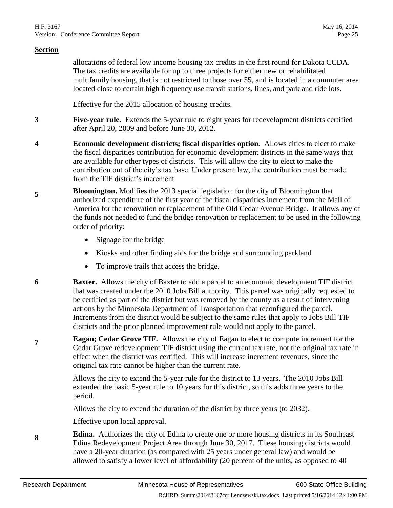allocations of federal low income housing tax credits in the first round for Dakota CCDA. The tax credits are available for up to three projects for either new or rehabilitated multifamily housing, that is not restricted to those over 55, and is located in a commuter area located close to certain high frequency use transit stations, lines, and park and ride lots.

Effective for the 2015 allocation of housing credits.

- **3 Five-year rule.** Extends the 5-year rule to eight years for redevelopment districts certified after April 20, 2009 and before June 30, 2012.
- **4 Economic development districts; fiscal disparities option.** Allows cities to elect to make the fiscal disparities contribution for economic development districts in the same ways that are available for other types of districts. This will allow the city to elect to make the contribution out of the city's tax base. Under present law, the contribution must be made from the TIF district's increment.
- **5 Bloomington.** Modifies the 2013 special legislation for the city of Bloomington that authorized expenditure of the first year of the fiscal disparities increment from the Mall of America for the renovation or replacement of the Old Cedar Avenue Bridge. It allows any of the funds not needed to fund the bridge renovation or replacement to be used in the following order of priority:
	- Signage for the bridge
	- Kiosks and other finding aids for the bridge and surrounding parkland
	- To improve trails that access the bridge.
- **6 Baxter.** Allows the city of Baxter to add a parcel to an economic development TIF district that was created under the 2010 Jobs Bill authority. This parcel was originally requested to be certified as part of the district but was removed by the county as a result of intervening actions by the Minnesota Department of Transportation that reconfigured the parcel. Increments from the district would be subject to the same rules that apply to Jobs Bill TIF districts and the prior planned improvement rule would not apply to the parcel.
- **7 Eagan; Cedar Grove TIF.** Allows the city of Eagan to elect to compute increment for the Cedar Grove redevelopment TIF district using the current tax rate, not the original tax rate in effect when the district was certified. This will increase increment revenues, since the original tax rate cannot be higher than the current rate.

Allows the city to extend the 5-year rule for the district to 13 years. The 2010 Jobs Bill extended the basic 5-year rule to 10 years for this district, so this adds three years to the period.

Allows the city to extend the duration of the district by three years (to 2032).

Effective upon local approval.

**8 Edina.** Authorizes the city of Edina to create one or more housing districts in its Southeast Edina Redevelopment Project Area through June 30, 2017. These housing districts would have a 20-year duration (as compared with 25 years under general law) and would be allowed to satisfy a lower level of affordability (20 percent of the units, as opposed to 40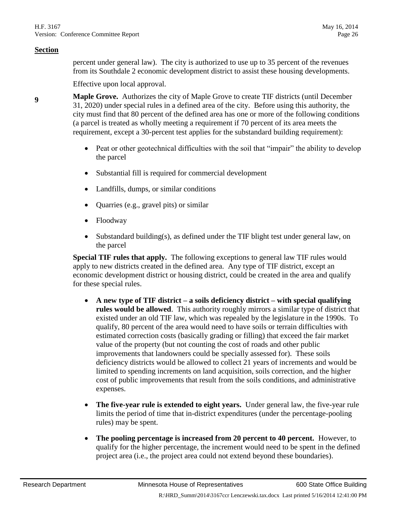percent under general law). The city is authorized to use up to 35 percent of the revenues from its Southdale 2 economic development district to assist these housing developments.

Effective upon local approval.

- <span id="page-25-0"></span>**<sup>9</sup> Maple Grove.** Authorizes the city of Maple Grove to create TIF districts (until December 31, 2020) under special rules in a defined area of the city. Before using this authority, the city must find that 80 percent of the defined area has one or more of the following conditions (a parcel is treated as wholly meeting a requirement if 70 percent of its area meets the requirement, except a 30-percent test applies for the substandard building requirement):
	- Peat or other geotechnical difficulties with the soil that "impair" the ability to develop the parcel
	- Substantial fill is required for commercial development
	- Landfills, dumps, or similar conditions
	- Quarries (e.g., gravel pits) or similar
	- Floodway
	- Substandard building(s), as defined under the TIF blight test under general law, on the parcel

**Special TIF rules that apply.** The following exceptions to general law TIF rules would apply to new districts created in the defined area. Any type of TIF district, except an economic development district or housing district, could be created in the area and qualify for these special rules.

- **A new type of TIF district – a soils deficiency district – with special qualifying rules would be allowed**. This authority roughly mirrors a similar type of district that existed under an old TIF law, which was repealed by the legislature in the 1990s. To qualify, 80 percent of the area would need to have soils or terrain difficulties with estimated correction costs (basically grading or filling) that exceed the fair market value of the property (but not counting the cost of roads and other public improvements that landowners could be specially assessed for). These soils deficiency districts would be allowed to collect 21 years of increments and would be limited to spending increments on land acquisition, soils correction, and the higher cost of public improvements that result from the soils conditions, and administrative expenses.
- **The five-year rule is extended to eight years.** Under general law, the five-year rule limits the period of time that in-district expenditures (under the percentage-pooling rules) may be spent.
- **The pooling percentage is increased from 20 percent to 40 percent.** However, to qualify for the higher percentage, the increment would need to be spent in the defined project area (i.e., the project area could not extend beyond these boundaries).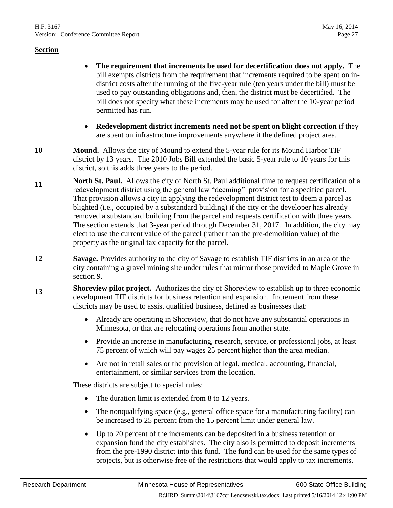- **The requirement that increments be used for decertification does not apply.** The bill exempts districts from the requirement that increments required to be spent on indistrict costs after the running of the five-year rule (ten years under the bill) must be used to pay outstanding obligations and, then, the district must be decertified. The bill does not specify what these increments may be used for after the 10-year period permitted has run.
- **Redevelopment district increments need not be spent on blight correction** if they are spent on infrastructure improvements anywhere it the defined project area.
- **10 Mound.** Allows the city of Mound to extend the 5-year rule for its Mound Harbor TIF district by 13 years. The 2010 Jobs Bill extended the basic 5-year rule to 10 years for this district, so this adds three years to the period.
- **11 North St. Paul.** Allows the city of North St. Paul additional time to request certification of a redevelopment district using the general law "deeming" provision for a specified parcel. That provision allows a city in applying the redevelopment district test to deem a parcel as blighted (i.e., occupied by a substandard building) if the city or the developer has already removed a substandard building from the parcel and requests certification with three years. The section extends that 3-year period through December 31, 2017. In addition, the city may elect to use the current value of the parcel (rather than the pre-demolition value) of the property as the original tax capacity for the parcel.
- **12 Savage.** Provides authority to the city of Savage to establish TIF districts in an area of the city containing a gravel mining site under rules that mirror those provided to Maple Grove in section [9.](#page-25-0)
- **13 Shoreview pilot project.** Authorizes the city of Shoreview to establish up to three economic development TIF districts for business retention and expansion. Increment from these districts may be used to assist qualified business, defined as businesses that:
	- Already are operating in Shoreview, that do not have any substantial operations in Minnesota, or that are relocating operations from another state.
	- Provide an increase in manufacturing, research, service, or professional jobs, at least 75 percent of which will pay wages 25 percent higher than the area median.
	- Are not in retail sales or the provision of legal, medical, accounting, financial, entertainment, or similar services from the location.

These districts are subject to special rules:

- The duration limit is extended from 8 to 12 years.
- The nonqualifying space (e.g., general office space for a manufacturing facility) can be increased to 25 percent from the 15 percent limit under general law.
- Up to 20 percent of the increments can be deposited in a business retention or expansion fund the city establishes. The city also is permitted to deposit increments from the pre-1990 district into this fund. The fund can be used for the same types of projects, but is otherwise free of the restrictions that would apply to tax increments.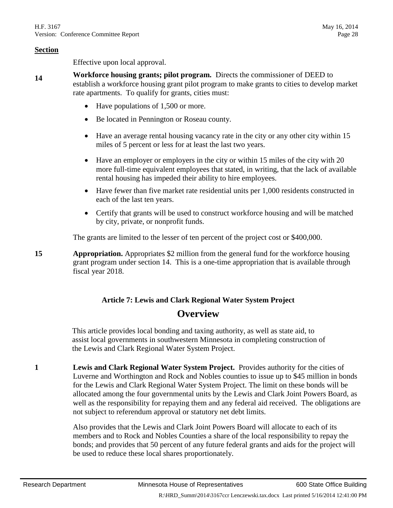Effective upon local approval.

- <span id="page-27-0"></span>**14 Workforce housing grants; pilot program.** Directs the commissioner of DEED to establish a workforce housing grant pilot program to make grants to cities to develop market rate apartments. To qualify for grants, cities must:
	- Have populations of 1,500 or more.
	- Be located in Pennington or Roseau county.
	- Have an average rental housing vacancy rate in the city or any other city within 15 miles of 5 percent or less for at least the last two years.
	- Have an employer or employers in the city or within 15 miles of the city with 20 more full-time equivalent employees that stated, in writing, that the lack of available rental housing has impeded their ability to hire employees.
	- Have fewer than five market rate residential units per 1,000 residents constructed in each of the last ten years.
	- Certify that grants will be used to construct workforce housing and will be matched by city, private, or nonprofit funds.

The grants are limited to the lesser of ten percent of the project cost or \$400,000.

**15 Appropriation.** Appropriates \$2 million from the general fund for the workforce housing grant program under section [14.](#page-27-0) This is a one-time appropriation that is available through fiscal year 2018.

# **Article 7: Lewis and Clark Regional Water System Project Overview**

This article provides local bonding and taxing authority, as well as state aid, to assist local governments in southwestern Minnesota in completing construction of the Lewis and Clark Regional Water System Project.

<span id="page-27-1"></span>**1 Lewis and Clark Regional Water System Project.** Provides authority for the cities of Luverne and Worthington and Rock and Nobles counties to issue up to \$45 million in bonds for the Lewis and Clark Regional Water System Project. The limit on these bonds will be allocated among the four governmental units by the Lewis and Clark Joint Powers Board, as well as the responsibility for repaying them and any federal aid received. The obligations are not subject to referendum approval or statutory net debt limits.

> Also provides that the Lewis and Clark Joint Powers Board will allocate to each of its members and to Rock and Nobles Counties a share of the local responsibility to repay the bonds; and provides that 50 percent of any future federal grants and aids for the project will be used to reduce these local shares proportionately.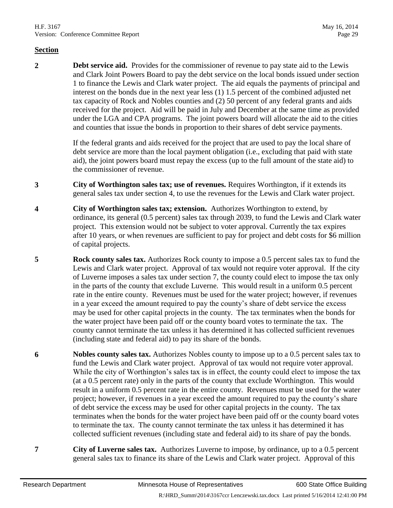**2 Debt service aid.** Provides for the commissioner of revenue to pay state aid to the Lewis and Clark Joint Powers Board to pay the debt service on the local bonds issued under section [1](#page-27-1) to finance the Lewis and Clark water project. The aid equals the payments of principal and interest on the bonds due in the next year less (1) 1.5 percent of the combined adjusted net tax capacity of Rock and Nobles counties and (2) 50 percent of any federal grants and aids received for the project. Aid will be paid in July and December at the same time as provided under the LGA and CPA programs. The joint powers board will allocate the aid to the cities and counties that issue the bonds in proportion to their shares of debt service payments.

> If the federal grants and aids received for the project that are used to pay the local share of debt service are more than the local payment obligation (i.e., excluding that paid with state aid), the joint powers board must repay the excess (up to the full amount of the state aid) to the commissioner of revenue.

- **3 City of Worthington sales tax; use of revenues.** Requires Worthington, if it extends its general sales tax under section [4,](#page-28-0) to use the revenues for the Lewis and Clark water project.
- <span id="page-28-0"></span>**4 City of Worthington sales tax; extension.** Authorizes Worthington to extend, by ordinance, its general (0.5 percent) sales tax through 2039, to fund the Lewis and Clark water project. This extension would not be subject to voter approval. Currently the tax expires after 10 years, or when revenues are sufficient to pay for project and debt costs for \$6 million of capital projects.
- **5 Rock county sales tax.** Authorizes Rock county to impose a 0.5 percent sales tax to fund the Lewis and Clark water project. Approval of tax would not require voter approval. If the city of Luverne imposes a sales tax under section [7,](#page-28-1) the county could elect to impose the tax only in the parts of the county that exclude Luverne. This would result in a uniform 0.5 percent rate in the entire county. Revenues must be used for the water project; however, if revenues in a year exceed the amount required to pay the county's share of debt service the excess may be used for other capital projects in the county. The tax terminates when the bonds for the water project have been paid off or the county board votes to terminate the tax. The county cannot terminate the tax unless it has determined it has collected sufficient revenues (including state and federal aid) to pay its share of the bonds.
- **6 Nobles county sales tax.** Authorizes Nobles county to impose up to a 0.5 percent sales tax to fund the Lewis and Clark water project. Approval of tax would not require voter approval. While the city of Worthington's sales tax is in effect, the county could elect to impose the tax (at a 0.5 percent rate) only in the parts of the county that exclude Worthington. This would result in a uniform 0.5 percent rate in the entire county. Revenues must be used for the water project; however, if revenues in a year exceed the amount required to pay the county's share of debt service the excess may be used for other capital projects in the county. The tax terminates when the bonds for the water project have been paid off or the county board votes to terminate the tax. The county cannot terminate the tax unless it has determined it has collected sufficient revenues (including state and federal aid) to its share of pay the bonds.
- <span id="page-28-1"></span>**7 City of Luverne sales tax.** Authorizes Luverne to impose, by ordinance, up to a 0.5 percent general sales tax to finance its share of the Lewis and Clark water project. Approval of this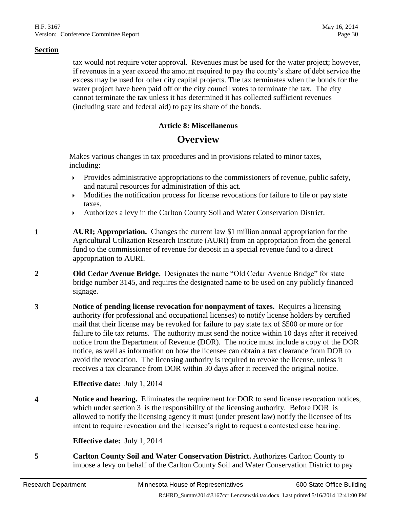tax would not require voter approval. Revenues must be used for the water project; however, if revenues in a year exceed the amount required to pay the county's share of debt service the excess may be used for other city capital projects. The tax terminates when the bonds for the water project have been paid off or the city council votes to terminate the tax. The city cannot terminate the tax unless it has determined it has collected sufficient revenues (including state and federal aid) to pay its share of the bonds.

#### **Article 8: Miscellaneous**

# **Overview**

Makes various changes in tax procedures and in provisions related to minor taxes, including:

- $\triangleright$  Provides administrative appropriations to the commissioners of revenue, public safety, and natural resources for administration of this act.
- Modifies the notification process for license revocations for failure to file or pay state taxes.
- Authorizes a levy in the Carlton County Soil and Water Conservation District.
- **1 AURI; Appropriation.** Changes the current law \$1 million annual appropriation for the Agricultural Utilization Research Institute (AURI) from an appropriation from the general fund to the commissioner of revenue for deposit in a special revenue fund to a direct appropriation to AURI.
- **2 Old Cedar Avenue Bridge.** Designates the name "Old Cedar Avenue Bridge" for state bridge number 3145, and requires the designated name to be used on any publicly financed signage.
- <span id="page-29-0"></span>**3 Notice of pending license revocation for nonpayment of taxes.** Requires a licensing authority (for professional and occupational licenses) to notify license holders by certified mail that their license may be revoked for failure to pay state tax of \$500 or more or for failure to file tax returns. The authority must send the notice within 10 days after it received notice from the Department of Revenue (DOR). The notice must include a copy of the DOR notice, as well as information on how the licensee can obtain a tax clearance from DOR to avoid the revocation. The licensing authority is required to revoke the license, unless it receives a tax clearance from DOR within 30 days after it received the original notice.

#### **Effective date:** July 1, 2014

**4 Notice and hearing.** Eliminates the requirement for DOR to send license revocation notices, which under section [3](#page-29-0) is the responsibility of the licensing authority. Before DOR is allowed to notify the licensing agency it must (under present law) notify the licensee of its intent to require revocation and the licensee's right to request a contested case hearing.

#### **Effective date:** July 1, 2014

**5 Carlton County Soil and Water Conservation District.** Authorizes Carlton County to impose a levy on behalf of the Carlton County Soil and Water Conservation District to pay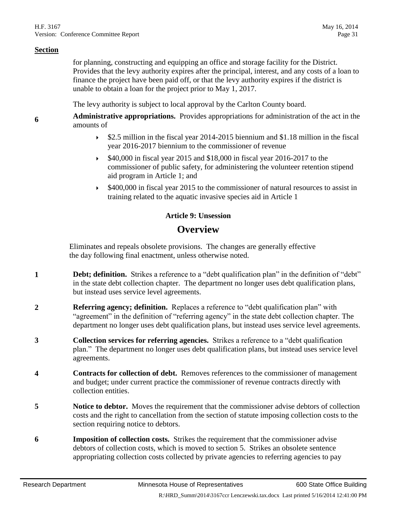**6**

for planning, constructing and equipping an office and storage facility for the District. Provides that the levy authority expires after the principal, interest, and any costs of a loan to finance the project have been paid off, or that the levy authority expires if the district is unable to obtain a loan for the project prior to May 1, 2017.

The levy authority is subject to local approval by the Carlton County board.

**Administrative appropriations.** Provides appropriations for administration of the act in the amounts of

- $\blacktriangleright$  \$2.5 million in the fiscal year 2014-2015 biennium and \$1.18 million in the fiscal year 2016-2017 biennium to the commissioner of revenue
- $\blacktriangleright$  \$40,000 in fiscal year 2015 and \$18,000 in fiscal year 2016-2017 to the commissioner of public safety, for administering the volunteer retention stipend aid program in Article 1; and
- $\blacktriangleright$  \$400,000 in fiscal year 2015 to the commissioner of natural resources to assist in training related to the aquatic invasive species aid in Article 1

#### **Article 9: Unsession**

# **Overview**

Eliminates and repeals obsolete provisions. The changes are generally effective the day following final enactment, unless otherwise noted.

- **1 Debt; definition.** Strikes a reference to a "debt qualification plan" in the definition of "debt" in the state debt collection chapter. The department no longer uses debt qualification plans, but instead uses service level agreements.
- **2 Referring agency; definition.** Replaces a reference to "debt qualification plan" with "agreement" in the definition of "referring agency" in the state debt collection chapter. The department no longer uses debt qualification plans, but instead uses service level agreements.
- **3 Collection services for referring agencies.** Strikes a reference to a "debt qualification plan." The department no longer uses debt qualification plans, but instead uses service level agreements.
- **4 Contracts for collection of debt.** Removes references to the commissioner of management and budget; under current practice the commissioner of revenue contracts directly with collection entities.
- <span id="page-30-0"></span>**5 Notice to debtor.** Moves the requirement that the commissioner advise debtors of collection costs and the right to cancellation from the section of statute imposing collection costs to the section requiring notice to debtors.
- **6 Imposition of collection costs.** Strikes the requirement that the commissioner advise debtors of collection costs, which is moved to section [5.](#page-30-0) Strikes an obsolete sentence appropriating collection costs collected by private agencies to referring agencies to pay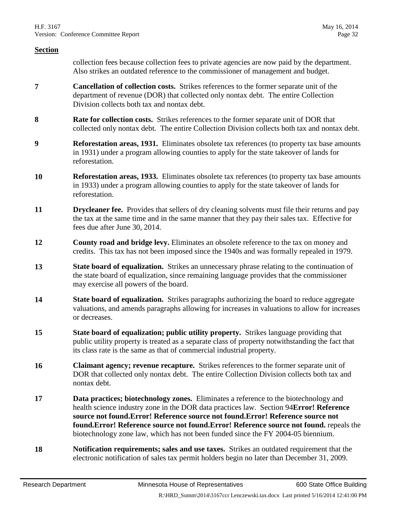collection fees because collection fees to private agencies are now paid by the department. Also strikes an outdated reference to the commissioner of management and budget.

- **7 Cancellation of collection costs.** Strikes references to the former separate unit of the department of revenue (DOR) that collected only nontax debt. The entire Collection Division collects both tax and nontax debt.
- **8 Rate for collection costs.** Strikes references to the former separate unit of DOR that collected only nontax debt. The entire Collection Division collects both tax and nontax debt.
- **9 Reforestation areas, 1931.** Eliminates obsolete tax references (to property tax base amounts in 1931) under a program allowing counties to apply for the state takeover of lands for reforestation.
- **10 Reforestation areas, 1933.** Eliminates obsolete tax references (to property tax base amounts in 1933) under a program allowing counties to apply for the state takeover of lands for reforestation.
- **11 Drycleaner fee.** Provides that sellers of dry cleaning solvents must file their returns and pay the tax at the same time and in the same manner that they pay their sales tax. Effective for fees due after June 30, 2014.
- **12 County road and bridge levy.** Eliminates an obsolete reference to the tax on money and credits. This tax has not been imposed since the 1940s and was formally repealed in 1979.
- **13 State board of equalization.** Strikes an unnecessary phrase relating to the continuation of the state board of equalization, since remaining language provides that the commissioner may exercise all powers of the board.
- <span id="page-31-0"></span>**14 State board of equalization.** Strikes paragraphs authorizing the board to reduce aggregate valuations, and amends paragraphs allowing for increases in valuations to allow for increases or decreases.
- **15 State board of equalization; public utility property.** Strikes language providing that public utility property is treated as a separate class of property notwithstanding the fact that its class rate is the same as that of commercial industrial property.
- **16 Claimant agency; revenue recapture.** Strikes references to the former separate unit of DOR that collected only nontax debt. The entire Collection Division collects both tax and nontax debt.
- **17 Data practices; biotechnology zones.** Eliminates a reference to the biotechnology and health science industry zone in the DOR data practices law. Section [94](#page-36-0)**[Error! Reference](#page-36-0)  source not found.Error! Reference source not found.Error! Reference source not found.Error! Reference source not found.Error! Reference source not found.** repeals the biotechnology zone law, which has not been funded since the FY 2004-05 biennium.
- **18 Notification requirements; sales and use taxes.** Strikes an outdated requirement that the electronic notification of sales tax permit holders begin no later than December 31, 2009.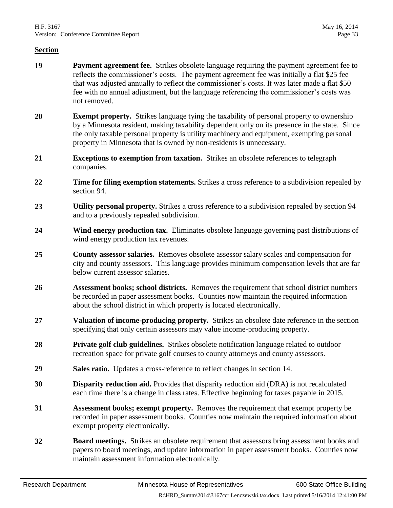- **19 Payment agreement fee.** Strikes obsolete language requiring the payment agreement fee to reflects the commissioner's costs. The payment agreement fee was initially a flat \$25 fee that was adjusted annually to reflect the commissioner's costs. It was later made a flat \$50 fee with no annual adjustment, but the language referencing the commissioner's costs was not removed.
- **20 Exempt property.** Strikes language tying the taxability of personal property to ownership by a Minnesota resident, making taxability dependent only on its presence in the state. Since the only taxable personal property is utility machinery and equipment, exempting personal property in Minnesota that is owned by non-residents is unnecessary.
- **21 Exceptions to exemption from taxation.** Strikes an obsolete references to telegraph companies.
- **22 Time for filing exemption statements.** Strikes a cross reference to a subdivision repealed by section [94.](#page-36-0)
- **23 Utility personal property.** Strikes a cross reference to a subdivision repealed by section [94](#page-36-0) and to a previously repealed subdivision.
- **24 Wind energy production tax.** Eliminates obsolete language governing past distributions of wind energy production tax revenues.
- **25 County assessor salaries.** Removes obsolete assessor salary scales and compensation for city and county assessors. This language provides minimum compensation levels that are far below current assessor salaries.
- **26 Assessment books; school districts.** Removes the requirement that school district numbers be recorded in paper assessment books. Counties now maintain the required information about the school district in which property is located electronically.
- **27 Valuation of income-producing property.** Strikes an obsolete date reference in the section specifying that only certain assessors may value income-producing property.
- **28 Private golf club guidelines.** Strikes obsolete notification language related to outdoor recreation space for private golf courses to county attorneys and county assessors.
- **29 Sales ratio.** Updates a cross-reference to reflect changes in section [14.](#page-31-0)
- **30 Disparity reduction aid.** Provides that disparity reduction aid (DRA) is not recalculated each time there is a change in class rates. Effective beginning for taxes payable in 2015.
- **31 Assessment books; exempt property.** Removes the requirement that exempt property be recorded in paper assessment books. Counties now maintain the required information about exempt property electronically.
- **32 Board meetings.** Strikes an obsolete requirement that assessors bring assessment books and papers to board meetings, and update information in paper assessment books. Counties now maintain assessment information electronically.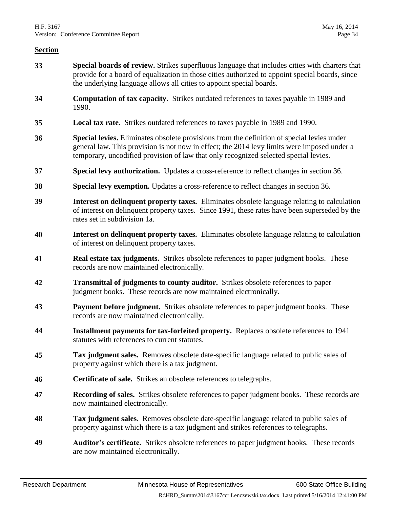- **33 Special boards of review.** Strikes superfluous language that includes cities with charters that provide for a board of equalization in those cities authorized to appoint special boards, since the underlying language allows all cities to appoint special boards.
- **34 Computation of tax capacity.** Strikes outdated references to taxes payable in 1989 and 1990.
- **35 Local tax rate.** Strikes outdated references to taxes payable in 1989 and 1990.
- <span id="page-33-0"></span>**36 Special levies.** Eliminates obsolete provisions from the definition of special levies under general law. This provision is not now in effect; the 2014 levy limits were imposed under a temporary, uncodified provision of law that only recognized selected special levies.
- **37 Special levy authorization.** Updates a cross-reference to reflect changes in section [36.](#page-33-0)
- **38 Special levy exemption.** Updates a cross-reference to reflect changes in section [36.](#page-33-0)
- **39 Interest on delinquent property taxes.** Eliminates obsolete language relating to calculation of interest on delinquent property taxes. Since 1991, these rates have been superseded by the rates set in subdivision 1a.
- **40 Interest on delinquent property taxes.** Eliminates obsolete language relating to calculation of interest on delinquent property taxes.
- **41 Real estate tax judgments.** Strikes obsolete references to paper judgment books. These records are now maintained electronically.
- **42 Transmittal of judgments to county auditor.** Strikes obsolete references to paper judgment books. These records are now maintained electronically.
- **43 Payment before judgment.** Strikes obsolete references to paper judgment books. These records are now maintained electronically.
- **44 Installment payments for tax-forfeited property.** Replaces obsolete references to 1941 statutes with references to current statutes.
- **45 Tax judgment sales.** Removes obsolete date-specific language related to public sales of property against which there is a tax judgment.
- **46 Certificate of sale.** Strikes an obsolete references to telegraphs.
- **47 Recording of sales.** Strikes obsolete references to paper judgment books. These records are now maintained electronically.
- **48 Tax judgment sales.** Removes obsolete date-specific language related to public sales of property against which there is a tax judgment and strikes references to telegraphs.
- **49 Auditor's certificate.** Strikes obsolete references to paper judgment books. These records are now maintained electronically.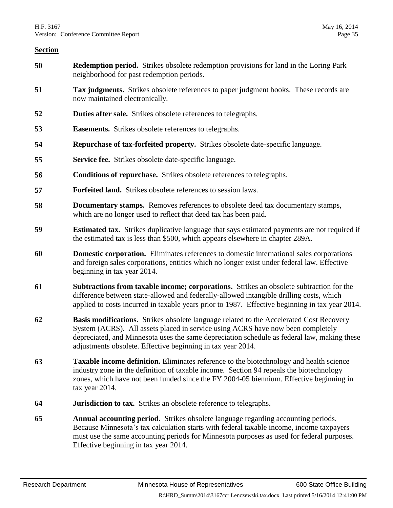- **50 Redemption period.** Strikes obsolete redemption provisions for land in the Loring Park neighborhood for past redemption periods.
- **51 Tax judgments.** Strikes obsolete references to paper judgment books. These records are now maintained electronically.
- **52 Duties after sale.** Strikes obsolete references to telegraphs.
- **53 Easements.** Strikes obsolete references to telegraphs.
- **54 Repurchase of tax-forfeited property.** Strikes obsolete date-specific language.
- **55 Service fee.** Strikes obsolete date-specific language.
- **56 Conditions of repurchase.** Strikes obsolete references to telegraphs.
- **57 Forfeited land.** Strikes obsolete references to session laws.
- **58 Documentary stamps.** Removes references to obsolete deed tax documentary stamps, which are no longer used to reflect that deed tax has been paid.
- **59 Estimated tax.** Strikes duplicative language that says estimated payments are not required if the estimated tax is less than \$500, which appears elsewhere in chapter 289A.
- **60 Domestic corporation.** Eliminates references to domestic international sales corporations and foreign sales corporations, entities which no longer exist under federal law. Effective beginning in tax year 2014.
- **61 Subtractions from taxable income; corporations.** Strikes an obsolete subtraction for the difference between state-allowed and federally-allowed intangible drilling costs, which applied to costs incurred in taxable years prior to 1987. Effective beginning in tax year 2014.
- <span id="page-34-0"></span>**62 Basis modifications.** Strikes obsolete language related to the Accelerated Cost Recovery System (ACRS). All assets placed in service using ACRS have now been completely depreciated, and Minnesota uses the same depreciation schedule as federal law, making these adjustments obsolete. Effective beginning in tax year 2014.
- **63 Taxable income definition.** Eliminates reference to the biotechnology and health science industry zone in the definition of taxable income. Section [94](#page-36-0) repeals the biotechnology zones, which have not been funded since the FY 2004-05 biennium. Effective beginning in tax year 2014.
- **64 Jurisdiction to tax.** Strikes an obsolete reference to telegraphs.
- **65 Annual accounting period.** Strikes obsolete language regarding accounting periods. Because Minnesota's tax calculation starts with federal taxable income, income taxpayers must use the same accounting periods for Minnesota purposes as used for federal purposes. Effective beginning in tax year 2014.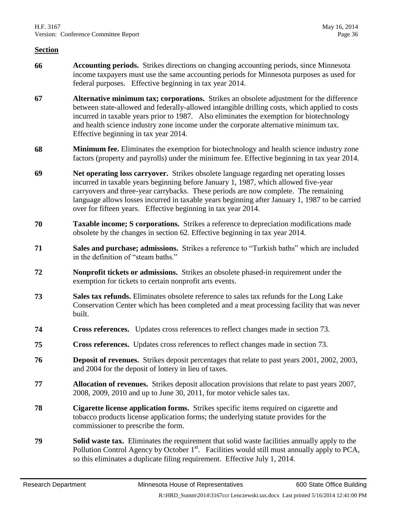- **66 Accounting periods.** Strikes directions on changing accounting periods, since Minnesota income taxpayers must use the same accounting periods for Minnesota purposes as used for federal purposes. Effective beginning in tax year 2014.
- **67 Alternative minimum tax; corporations.** Strikes an obsolete adjustment for the difference between state-allowed and federally-allowed intangible drilling costs, which applied to costs incurred in taxable years prior to 1987. Also eliminates the exemption for biotechnology and health science industry zone income under the corporate alternative minimum tax. Effective beginning in tax year 2014.
- **68 Minimum fee.** Eliminates the exemption for biotechnology and health science industry zone factors (property and payrolls) under the minimum fee. Effective beginning in tax year 2014.
- **69 Net operating loss carryover.** Strikes obsolete language regarding net operating losses incurred in taxable years beginning before January 1, 1987, which allowed five-year carryovers and three-year carrybacks. These periods are now complete. The remaining language allows losses incurred in taxable years beginning after January 1, 1987 to be carried over for fifteen years. Effective beginning in tax year 2014.
- **70 Taxable income; S corporations.** Strikes a reference to depreciation modifications made obsolete by the changes in section [62.](#page-34-0) Effective beginning in tax year 2014.
- **71 Sales and purchase; admissions.** Strikes a reference to "Turkish baths" which are included in the definition of "steam baths."
- **72 Nonprofit tickets or admissions.** Strikes an obsolete phased-in requirement under the exemption for tickets to certain nonprofit arts events.
- <span id="page-35-0"></span>**73 Sales tax refunds.** Eliminates obsolete reference to sales tax refunds for the Long Lake Conservation Center which has been completed and a meat processing facility that was never built.
- **74 Cross references.** Updates cross references to reflect changes made in section [73.](#page-35-0)
- **75 Cross references.** Updates cross references to reflect changes made in section [73.](#page-35-0)
- **76 Deposit of revenues.** Strikes deposit percentages that relate to past years 2001, 2002, 2003, and 2004 for the deposit of lottery in lieu of taxes.
- **77 Allocation of revenues.** Strikes deposit allocation provisions that relate to past years 2007, 2008, 2009, 2010 and up to June 30, 2011, for motor vehicle sales tax.
- **78 Cigarette license application forms.** Strikes specific items required on cigarette and tobacco products license application forms; the underlying statute provides for the commissioner to prescribe the form.
- **79 Solid waste tax.** Eliminates the requirement that solid waste facilities annually apply to the Pollution Control Agency by October  $1<sup>st</sup>$ . Facilities would still must annually apply to PCA, so this eliminates a duplicate filing requirement. Effective July 1, 2014.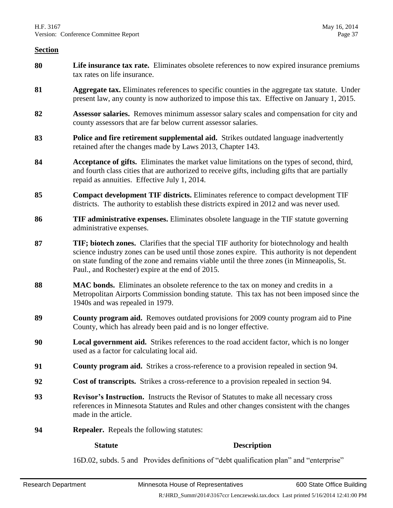- **80 Life insurance tax rate.** Eliminates obsolete references to now expired insurance premiums tax rates on life insurance.
- **81 Aggregate tax.** Eliminates references to specific counties in the aggregate tax statute. Under present law, any county is now authorized to impose this tax. Effective on January 1, 2015.
- **82 Assessor salaries.** Removes minimum assessor salary scales and compensation for city and county assessors that are far below current assessor salaries.
- **83 Police and fire retirement supplemental aid.** Strikes outdated language inadvertently retained after the changes made by Laws 2013, Chapter 143.
- **84 Acceptance of gifts.** Eliminates the market value limitations on the types of second, third, and fourth class cities that are authorized to receive gifts, including gifts that are partially repaid as annuities. Effective July 1, 2014.
- **85 Compact development TIF districts.** Eliminates reference to compact development TIF districts. The authority to establish these districts expired in 2012 and was never used.
- **86 TIF administrative expenses.** Eliminates obsolete language in the TIF statute governing administrative expenses.
- **87 TIF; biotech zones.** Clarifies that the special TIF authority for biotechnology and health science industry zones can be used until those zones expire. This authority is not dependent on state funding of the zone and remains viable until the three zones (in Minneapolis, St. Paul., and Rochester) expire at the end of 2015.
- **88 MAC bonds.** Eliminates an obsolete reference to the tax on money and credits in a Metropolitan Airports Commission bonding statute. This tax has not been imposed since the 1940s and was repealed in 1979.
- **89 County program aid.** Removes outdated provisions for 2009 county program aid to Pine County, which has already been paid and is no longer effective.
- **90 Local government aid.** Strikes references to the road accident factor, which is no longer used as a factor for calculating local aid.
- **91 County program aid.** Strikes a cross-reference to a provision repealed in section [94.](#page-36-0)
- **92 Cost of transcripts.** Strikes a cross-reference to a provision repealed in section [94.](#page-36-0)
- **93 Revisor's Instruction.** Instructs the Revisor of Statutes to make all necessary cross references in Minnesota Statutes and Rules and other changes consistent with the changes made in the article.
- <span id="page-36-0"></span>**94 Repealer.** Repeals the following statutes:

#### **Statute Description**

16D.02, subds. 5 and Provides definitions of "debt qualification plan" and "enterprise"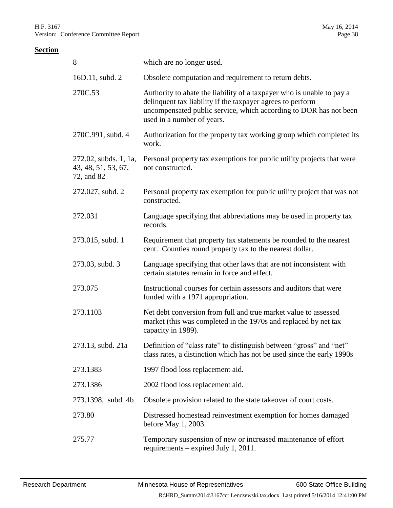| 8                                                          | which are no longer used.                                                                                                                                                                                                              |
|------------------------------------------------------------|----------------------------------------------------------------------------------------------------------------------------------------------------------------------------------------------------------------------------------------|
| 16D.11, subd. 2                                            | Obsolete computation and requirement to return debts.                                                                                                                                                                                  |
| 270C.53                                                    | Authority to abate the liability of a taxpayer who is unable to pay a<br>delinquent tax liability if the taxpayer agrees to perform<br>uncompensated public service, which according to DOR has not been<br>used in a number of years. |
| 270C.991, subd. 4                                          | Authorization for the property tax working group which completed its<br>work.                                                                                                                                                          |
| 272.02, subds. 1, 1a,<br>43, 48, 51, 53, 67,<br>72, and 82 | Personal property tax exemptions for public utility projects that were<br>not constructed.                                                                                                                                             |
| 272.027, subd. 2                                           | Personal property tax exemption for public utility project that was not<br>constructed.                                                                                                                                                |
| 272.031                                                    | Language specifying that abbreviations may be used in property tax<br>records.                                                                                                                                                         |
| 273.015, subd. 1                                           | Requirement that property tax statements be rounded to the nearest<br>cent. Counties round property tax to the nearest dollar.                                                                                                         |
| 273.03, subd. 3                                            | Language specifying that other laws that are not inconsistent with<br>certain statutes remain in force and effect.                                                                                                                     |
| 273.075                                                    | Instructional courses for certain assessors and auditors that were<br>funded with a 1971 appropriation.                                                                                                                                |
| 273.1103                                                   | Net debt conversion from full and true market value to assessed<br>market (this was completed in the 1970s and replaced by net tax<br>capacity in 1989).                                                                               |
| 273.13, subd. 21a                                          | Definition of "class rate" to distinguish between "gross" and "net"<br>class rates, a distinction which has not be used since the early 1990s                                                                                          |
| 273.1383                                                   | 1997 flood loss replacement aid.                                                                                                                                                                                                       |
| 273.1386                                                   | 2002 flood loss replacement aid.                                                                                                                                                                                                       |
| 273.1398, subd. 4b                                         | Obsolete provision related to the state takeover of court costs.                                                                                                                                                                       |
| 273.80                                                     | Distressed homestead reinvestment exemption for homes damaged<br>before May 1, 2003.                                                                                                                                                   |
| 275.77                                                     | Temporary suspension of new or increased maintenance of effort<br>requirements – expired July 1, 2011.                                                                                                                                 |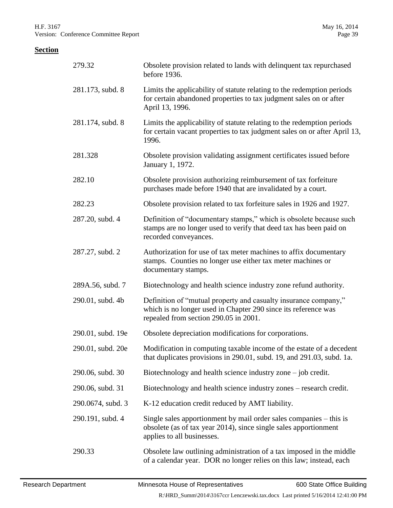| 279.32            | Obsolete provision related to lands with delinquent tax repurchased<br>before 1936.                                                                                        |
|-------------------|----------------------------------------------------------------------------------------------------------------------------------------------------------------------------|
| 281.173, subd. 8  | Limits the applicability of statute relating to the redemption periods<br>for certain abandoned properties to tax judgment sales on or after<br>April 13, 1996.            |
| 281.174, subd. 8  | Limits the applicability of statute relating to the redemption periods<br>for certain vacant properties to tax judgment sales on or after April 13,<br>1996.               |
| 281.328           | Obsolete provision validating assignment certificates issued before<br>January 1, 1972.                                                                                    |
| 282.10            | Obsolete provision authorizing reimbursement of tax forfeiture<br>purchases made before 1940 that are invalidated by a court.                                              |
| 282.23            | Obsolete provision related to tax forfeiture sales in 1926 and 1927.                                                                                                       |
| 287.20, subd. 4   | Definition of "documentary stamps," which is obsolete because such<br>stamps are no longer used to verify that deed tax has been paid on<br>recorded conveyances.          |
| 287.27, subd. 2   | Authorization for use of tax meter machines to affix documentary<br>stamps. Counties no longer use either tax meter machines or<br>documentary stamps.                     |
| 289A.56, subd. 7  | Biotechnology and health science industry zone refund authority.                                                                                                           |
| 290.01, subd. 4b  | Definition of "mutual property and casualty insurance company,"<br>which is no longer used in Chapter 290 since its reference was<br>repealed from section 290.05 in 2001. |
| 290.01, subd. 19e | Obsolete depreciation modifications for corporations.                                                                                                                      |
| 290.01, subd. 20e | Modification in computing taxable income of the estate of a decedent<br>that duplicates provisions in 290.01, subd. 19, and 291.03, subd. 1a.                              |
| 290.06, subd. 30  | Biotechnology and health science industry zone $-$ job credit.                                                                                                             |
| 290.06, subd. 31  | Biotechnology and health science industry zones - research credit.                                                                                                         |
| 290.0674, subd. 3 | K-12 education credit reduced by AMT liability.                                                                                                                            |
| 290.191, subd. 4  | Single sales apportionment by mail order sales companies – this is<br>obsolete (as of tax year 2014), since single sales apportionment<br>applies to all businesses.       |
| 290.33            | Obsolete law outlining administration of a tax imposed in the middle<br>of a calendar year. DOR no longer relies on this law; instead, each                                |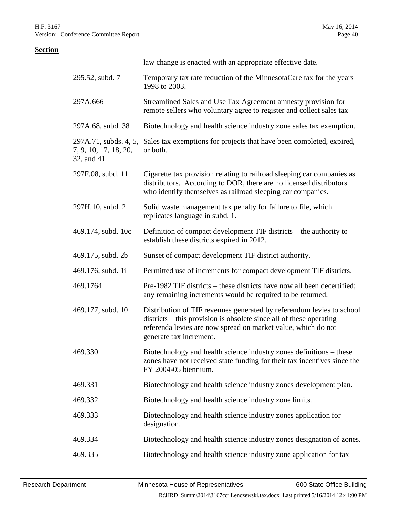|                                                              | law change is enacted with an appropriate effective date.                                                                                                                                                                                |
|--------------------------------------------------------------|------------------------------------------------------------------------------------------------------------------------------------------------------------------------------------------------------------------------------------------|
| 295.52, subd. 7                                              | Temporary tax rate reduction of the MinnesotaCare tax for the years<br>1998 to 2003.                                                                                                                                                     |
| 297A.666                                                     | Streamlined Sales and Use Tax Agreement amnesty provision for<br>remote sellers who voluntary agree to register and collect sales tax                                                                                                    |
| 297A.68, subd. 38                                            | Biotechnology and health science industry zone sales tax exemption.                                                                                                                                                                      |
| 297A.71, subds. 4, 5,<br>7, 9, 10, 17, 18, 20,<br>32, and 41 | Sales tax exemptions for projects that have been completed, expired,<br>or both.                                                                                                                                                         |
| 297F.08, subd. 11                                            | Cigarette tax provision relating to railroad sleeping car companies as<br>distributors. According to DOR, there are no licensed distributors<br>who identify themselves as railroad sleeping car companies.                              |
| 297H.10, subd. 2                                             | Solid waste management tax penalty for failure to file, which<br>replicates language in subd. 1.                                                                                                                                         |
| 469.174, subd. 10c                                           | Definition of compact development TIF districts – the authority to<br>establish these districts expired in 2012.                                                                                                                         |
| 469.175, subd. 2b                                            | Sunset of compact development TIF district authority.                                                                                                                                                                                    |
| 469.176, subd. 1i                                            | Permitted use of increments for compact development TIF districts.                                                                                                                                                                       |
| 469.1764                                                     | Pre-1982 TIF districts – these districts have now all been decertified;<br>any remaining increments would be required to be returned.                                                                                                    |
| 469.177, subd. 10                                            | Distribution of TIF revenues generated by referendum levies to school<br>districts – this provision is obsolete since all of these operating<br>referenda levies are now spread on market value, which do not<br>generate tax increment. |
| 469.330                                                      | Biotechnology and health science industry zones definitions – these<br>zones have not received state funding for their tax incentives since the<br>FY 2004-05 biennium.                                                                  |
| 469.331                                                      | Biotechnology and health science industry zones development plan.                                                                                                                                                                        |
| 469.332                                                      | Biotechnology and health science industry zone limits.                                                                                                                                                                                   |
| 469.333                                                      | Biotechnology and health science industry zones application for<br>designation.                                                                                                                                                          |
| 469.334                                                      | Biotechnology and health science industry zones designation of zones.                                                                                                                                                                    |
| 469.335                                                      | Biotechnology and health science industry zone application for tax                                                                                                                                                                       |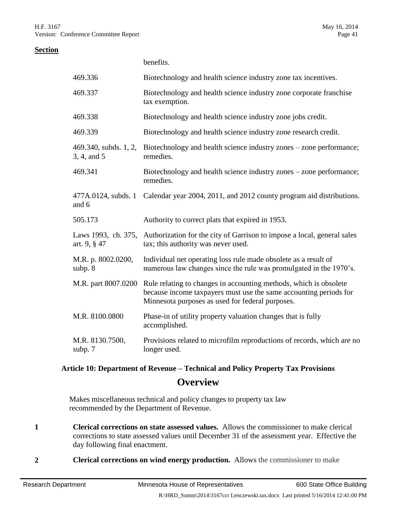benefits.

#### **Section**

| 469.336                              | Biotechnology and health science industry zone tax incentives.                                                                                                                             |
|--------------------------------------|--------------------------------------------------------------------------------------------------------------------------------------------------------------------------------------------|
| 469.337                              | Biotechnology and health science industry zone corporate franchise<br>tax exemption.                                                                                                       |
| 469.338                              | Biotechnology and health science industry zone jobs credit.                                                                                                                                |
| 469.339                              | Biotechnology and health science industry zone research credit.                                                                                                                            |
| 469.340, subds. 1, 2,<br>3, 4, and 5 | Biotechnology and health science industry zones – zone performance;<br>remedies.                                                                                                           |
| 469.341                              | Biotechnology and health science industry zones – zone performance;<br>remedies.                                                                                                           |
| and 6                                | 477A.0124, subds. 1 Calendar year 2004, 2011, and 2012 county program aid distributions.                                                                                                   |
| 505.173                              | Authority to correct plats that expired in 1953.                                                                                                                                           |
| Laws 1993, ch. 375,<br>art. 9, § 47  | Authorization for the city of Garrison to impose a local, general sales<br>tax; this authority was never used.                                                                             |
| M.R. p. 8002.0200,<br>subp. 8        | Individual net operating loss rule made obsolete as a result of<br>numerous law changes since the rule was promulgated in the 1970's.                                                      |
| M.R. part 8007.0200                  | Rule relating to changes in accounting methods, which is obsolete<br>because income taxpayers must use the same accounting periods for<br>Minnesota purposes as used for federal purposes. |
| M.R. 8100.0800                       | Phase-in of utility property valuation changes that is fully<br>accomplished.                                                                                                              |
| M.R. 8130.7500,<br>subp. 7           | Provisions related to microfilm reproductions of records, which are no<br>longer used.                                                                                                     |

# **Article 10: Department of Revenue – Technical and Policy Property Tax Provisions Overview**

Makes miscellaneous technical and policy changes to property tax law recommended by the Department of Revenue.

- **1 Clerical corrections on state assessed values.** Allows the commissioner to make clerical corrections to state assessed values until December 31 of the assessment year. Effective the day following final enactment.
- **2 Clerical corrections on wind energy production.** Allows the commissioner to make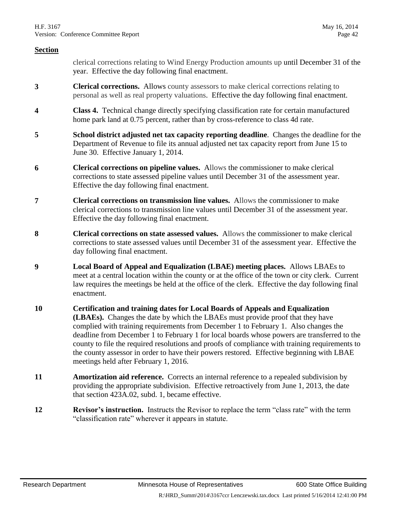clerical corrections relating to Wind Energy Production amounts up until December 31 of the year. Effective the day following final enactment.

- **3 Clerical corrections.** Allows county assessors to make clerical corrections relating to personal as well as real property valuations. Effective the day following final enactment.
- **4 Class 4.** Technical change directly specifying classification rate for certain manufactured home park land at 0.75 percent, rather than by cross-reference to class 4d rate.
- **5 School district adjusted net tax capacity reporting deadline**. Changes the deadline for the Department of Revenue to file its annual adjusted net tax capacity report from June 15 to June 30. Effective January 1, 2014.
- **6 Clerical corrections on pipeline values.** Allows the commissioner to make clerical corrections to state assessed pipeline values until December 31 of the assessment year. Effective the day following final enactment.
- **7 Clerical corrections on transmission line values.** Allows the commissioner to make clerical corrections to transmission line values until December 31 of the assessment year. Effective the day following final enactment.
- **8 Clerical corrections on state assessed values.** Allows the commissioner to make clerical corrections to state assessed values until December 31 of the assessment year. Effective the day following final enactment.
- **9 Local Board of Appeal and Equalization (LBAE) meeting places.** Allows LBAEs to meet at a central location within the county or at the office of the town or city clerk. Current law requires the meetings be held at the office of the clerk. Effective the day following final enactment.
- **10 Certification and training dates for Local Boards of Appeals and Equalization (LBAEs).** Changes the date by which the LBAEs must provide proof that they have complied with training requirements from December 1 to February 1. Also changes the deadline from December 1 to February 1 for local boards whose powers are transferred to the county to file the required resolutions and proofs of compliance with training requirements to the county assessor in order to have their powers restored. Effective beginning with LBAE meetings held after February 1, 2016.
- **11 Amortization aid reference.** Corrects an internal reference to a repealed subdivision by providing the appropriate subdivision. Effective retroactively from June 1, 2013, the date that section 423A.02, subd. 1, became effective.
- **12 Revisor's instruction.** Instructs the Revisor to replace the term "class rate" with the term "classification rate" wherever it appears in statute.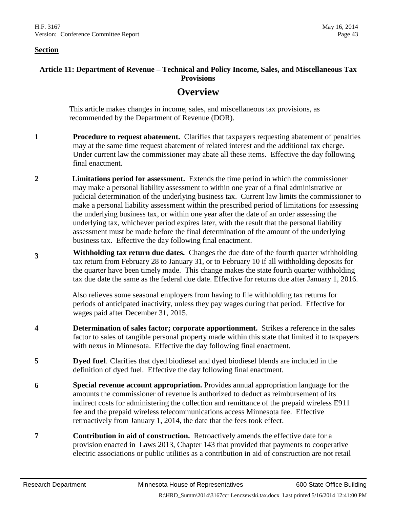#### **Article 11: Department of Revenue – Technical and Policy Income, Sales, and Miscellaneous Tax Provisions**

### **Overview**

This article makes changes in income, sales, and miscellaneous tax provisions, as recommended by the Department of Revenue (DOR).

- **1 Procedure to request abatement.** Clarifies that taxpayers requesting abatement of penalties may at the same time request abatement of related interest and the additional tax charge. Under current law the commissioner may abate all these items. Effective the day following final enactment.
- **2 Limitations period for assessment.** Extends the time period in which the commissioner may make a personal liability assessment to within one year of a final administrative or judicial determination of the underlying business tax. Current law limits the commissioner to make a personal liability assessment within the prescribed period of limitations for assessing the underlying business tax, or within one year after the date of an order assessing the underlying tax, whichever period expires later, with the result that the personal liability assessment must be made before the final determination of the amount of the underlying business tax. Effective the day following final enactment.
- **<sup>3</sup> Withholding tax return due dates.** Changes the due date of the fourth quarter withholding tax return from February 28 to January 31, or to February 10 if all withholding deposits for the quarter have been timely made. This change makes the state fourth quarter withholding tax due date the same as the federal due date. Effective for returns due after January 1, 2016.

Also relieves some seasonal employers from having to file withholding tax returns for periods of anticipated inactivity, unless they pay wages during that period. Effective for wages paid after December 31, 2015.

- **4 Determination of sales factor; corporate apportionment.** Strikes a reference in the sales factor to sales of tangible personal property made within this state that limited it to taxpayers with nexus in Minnesota. Effective the day following final enactment.
- **5 Dyed fuel**. Clarifies that dyed biodiesel and dyed biodiesel blends are included in the definition of dyed fuel. Effective the day following final enactment.
- **6 Special revenue account appropriation.** Provides annual appropriation language for the amounts the commissioner of revenue is authorized to deduct as reimbursement of its indirect costs for administering the collection and remittance of the prepaid wireless E911 fee and the prepaid wireless telecommunications access Minnesota fee. Effective retroactively from January 1, 2014, the date that the fees took effect.
- **7 Contribution in aid of construction.** Retroactively amends the effective date for a provision enacted in Laws 2013, Chapter 143 that provided that payments to cooperative electric associations or public utilities as a contribution in aid of construction are not retail